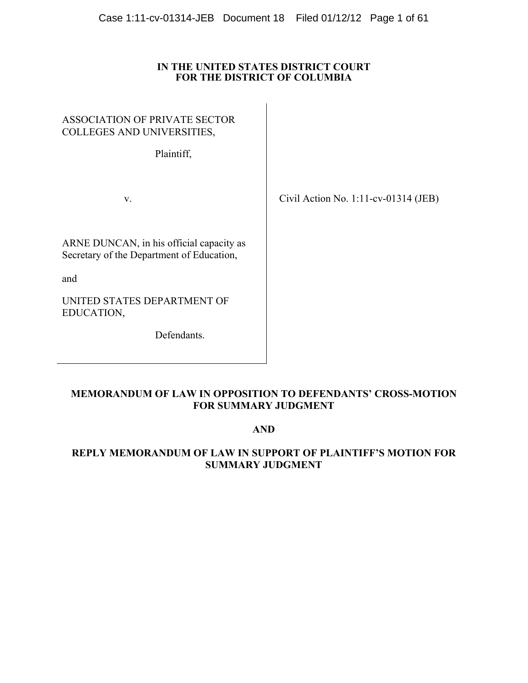### **IN THE UNITED STATES DISTRICT COURT FOR THE DISTRICT OF COLUMBIA**

| <b>ASSOCIATION OF PRIVATE SECTOR</b><br>COLLEGES AND UNIVERSITIES,<br>Plaintiff,             |                                         |
|----------------------------------------------------------------------------------------------|-----------------------------------------|
| V.                                                                                           | Civil Action No. $1:11$ -cv-01314 (JEB) |
| ARNE DUNCAN, in his official capacity as<br>Secretary of the Department of Education,<br>and |                                         |
| UNITED STATES DEPARTMENT OF<br>EDUCATION,                                                    |                                         |
| Defendants.                                                                                  |                                         |

# **MEMORANDUM OF LAW IN OPPOSITION TO DEFENDANTS' CROSS-MOTION FOR SUMMARY JUDGMENT**

# **AND**

# **REPLY MEMORANDUM OF LAW IN SUPPORT OF PLAINTIFF'S MOTION FOR SUMMARY JUDGMENT**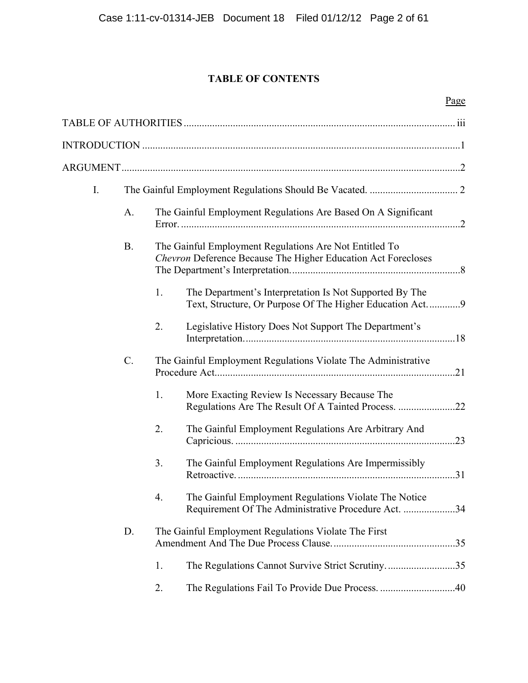# **TABLE OF CONTENTS**

| $\mathbf{I}$ . |                 |                                                                                                                           |  |
|----------------|-----------------|---------------------------------------------------------------------------------------------------------------------------|--|
|                | A.              | The Gainful Employment Regulations Are Based On A Significant                                                             |  |
|                | <b>B.</b>       | The Gainful Employment Regulations Are Not Entitled To<br>Chevron Deference Because The Higher Education Act Forecloses   |  |
|                |                 | 1.<br>The Department's Interpretation Is Not Supported By The<br>Text, Structure, Or Purpose Of The Higher Education Act9 |  |
|                |                 | 2.<br>Legislative History Does Not Support The Department's                                                               |  |
|                | $\mathcal{C}$ . | The Gainful Employment Regulations Violate The Administrative                                                             |  |
|                |                 | More Exacting Review Is Necessary Because The<br>1.                                                                       |  |
|                |                 | 2.<br>The Gainful Employment Regulations Are Arbitrary And                                                                |  |
|                |                 | 3.<br>The Gainful Employment Regulations Are Impermissibly                                                                |  |
|                |                 | The Gainful Employment Regulations Violate The Notice<br>4.<br>Requirement Of The Administrative Procedure Act. 34        |  |
|                | D.              | The Gainful Employment Regulations Violate The First                                                                      |  |
|                |                 | 1.<br>The Regulations Cannot Survive Strict Scrutiny35                                                                    |  |
|                |                 | 2.                                                                                                                        |  |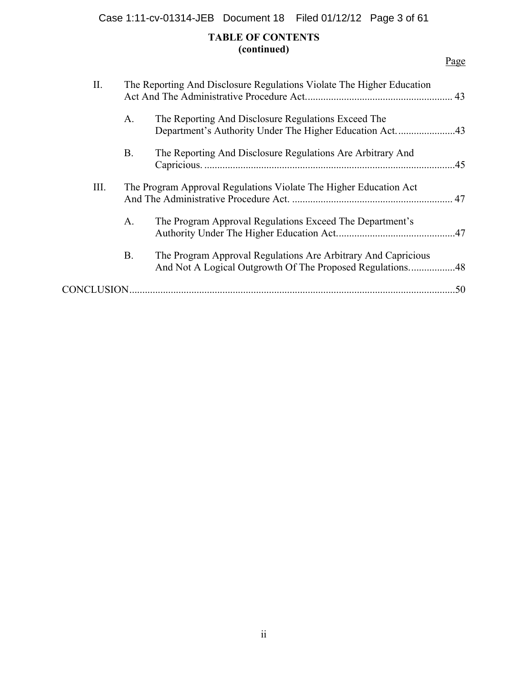Case 1:11-cv-01314-JEB Document 18 Filed 01/12/12 Page 3 of 61

# **TABLE OF CONTENTS (continued)**

| П.         |           | The Reporting And Disclosure Regulations Violate The Higher Education                                          |     |
|------------|-----------|----------------------------------------------------------------------------------------------------------------|-----|
|            | A.        | The Reporting And Disclosure Regulations Exceed The<br>Department's Authority Under The Higher Education Act43 |     |
|            | <b>B.</b> | The Reporting And Disclosure Regulations Are Arbitrary And                                                     | .45 |
| III.       |           | The Program Approval Regulations Violate The Higher Education Act                                              |     |
|            | A.        | The Program Approval Regulations Exceed The Department's                                                       |     |
|            | <b>B.</b> | The Program Approval Regulations Are Arbitrary And Capricious                                                  |     |
| CONCLUSION |           |                                                                                                                | .50 |
|            |           |                                                                                                                |     |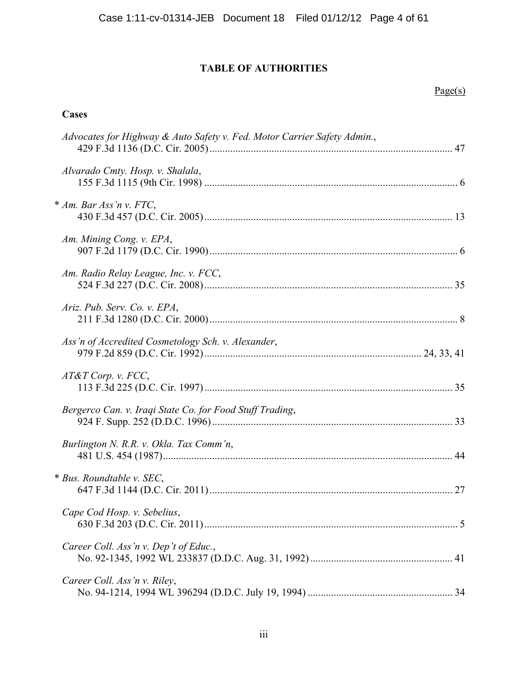# **TABLE OF AUTHORITIES**

# Page(s)

# **Cases**

| Advocates for Highway & Auto Safety v. Fed. Motor Carrier Safety Admin., |  |
|--------------------------------------------------------------------------|--|
| Alvarado Cmty. Hosp. v. Shalala,                                         |  |
| * Am. Bar Ass'n v. FTC,                                                  |  |
| Am. Mining Cong. v. EPA,                                                 |  |
| Am. Radio Relay League, Inc. v. FCC,                                     |  |
| Ariz. Pub. Serv. Co. v. EPA,                                             |  |
| Ass'n of Accredited Cosmetology Sch. v. Alexander,                       |  |
| $AT&T$ Corp. v. FCC,                                                     |  |
| Bergerco Can. v. Iraqi State Co. for Food Stuff Trading,                 |  |
| Burlington N. R.R. v. Okla. Tax Comm'n,                                  |  |
| * Bus. Roundtable v. SEC,                                                |  |
| Cape Cod Hosp. v. Sebelius,                                              |  |
| Career Coll. Ass'n v. Dep't of Educ.,                                    |  |
| Career Coll. Ass'n v. Riley,                                             |  |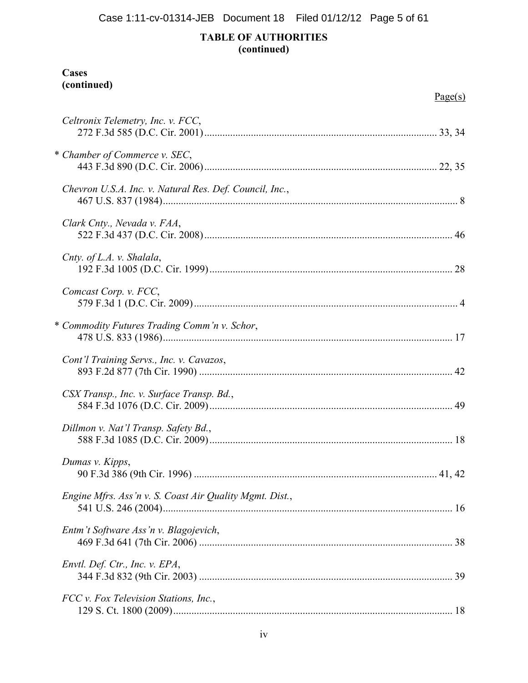# **TABLE OF AUTHORITIES (continued)**

# **Cases (continued)**

|                                                         | Page(s) |
|---------------------------------------------------------|---------|
| Celtronix Telemetry, Inc. v. FCC,                       |         |
| * Chamber of Commerce v. SEC,                           |         |
| Chevron U.S.A. Inc. v. Natural Res. Def. Council, Inc., |         |
| Clark Cnty., Nevada v. FAA,                             |         |
| Cnty. of L.A. v. Shalala,                               |         |
| Comcast Corp. v. FCC,                                   |         |
| * Commodity Futures Trading Comm'n v. Schor,            |         |
| Cont'l Training Servs., Inc. v. Cavazos,                |         |
| CSX Transp., Inc. v. Surface Transp. Bd.,               |         |
| Dillmon v. Nat'l Transp. Safety Bd.,                    |         |
| Dumas v. Kipps,                                         |         |
| Engine Mfrs. Ass'n v. S. Coast Air Quality Mgmt. Dist., |         |
| Entm't Software Ass'n v. Blagojevich,                   |         |
| Envtl. Def. Ctr., Inc. v. EPA,                          |         |
| FCC v. Fox Television Stations, Inc.,                   |         |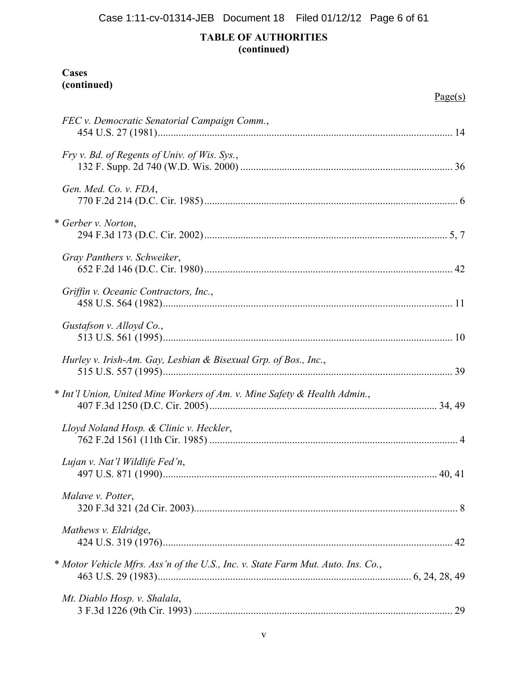# **TABLE OF AUTHORITIES (continued)**

# **Cases (continued)**

|                                                                                  | Page(s) |
|----------------------------------------------------------------------------------|---------|
| FEC v. Democratic Senatorial Campaign Comm.,                                     |         |
| Fry v. Bd. of Regents of Univ. of Wis. Sys.,                                     |         |
| Gen. Med. Co. v. FDA,                                                            |         |
| * Gerber v. Norton,                                                              |         |
| Gray Panthers v. Schweiker,                                                      |         |
| Griffin v. Oceanic Contractors, Inc.,                                            |         |
| Gustafson v. Alloyd Co.,                                                         |         |
| Hurley v. Irish-Am. Gay, Lesbian & Bisexual Grp. of Bos., Inc.,                  |         |
| * Int'l Union, United Mine Workers of Am. v. Mine Safety & Health Admin.,        |         |
| Lloyd Noland Hosp. & Clinic v. Heckler,                                          |         |
| Lujan v. Nat'l Wildlife Fed'n,                                                   | 40, 41  |
| Malave v. Potter,                                                                |         |
| Mathews v. Eldridge,                                                             |         |
| * Motor Vehicle Mfrs. Ass'n of the U.S., Inc. v. State Farm Mut. Auto. Ins. Co., |         |
| Mt. Diablo Hosp. v. Shalala,                                                     |         |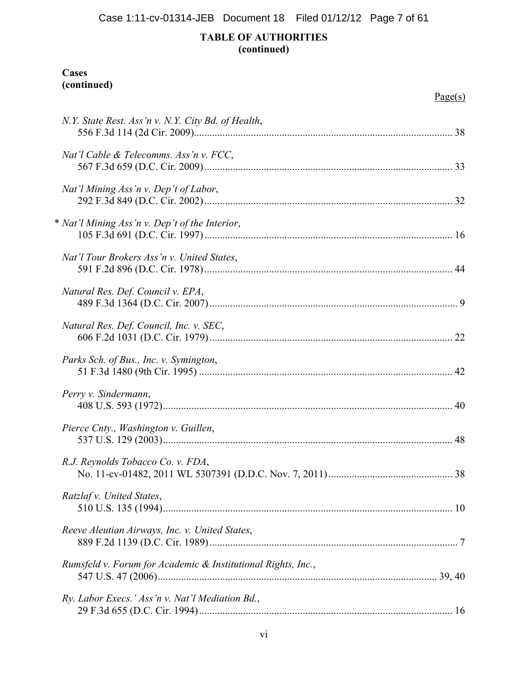# **TABLE OF AUTHORITIES (continued)**

# **Cases (continued)**

|                                                              | Page(s) |
|--------------------------------------------------------------|---------|
| N.Y. State Rest. Ass'n v. N.Y. City Bd. of Health,           |         |
| Nat'l Cable & Telecomms. Ass'n v. FCC,                       |         |
| Nat'l Mining Ass'n v. Dep't of Labor,                        |         |
| * Nat'l Mining Ass'n v. Dep't of the Interior,               |         |
| Nat'l Tour Brokers Ass'n v. United States,                   |         |
| Natural Res. Def. Council v. EPA,                            |         |
| Natural Res. Def. Council, Inc. v. SEC,                      |         |
| Parks Sch. of Bus., Inc. v. Symington,                       |         |
| Perry v. Sindermann,                                         |         |
| Pierce Cnty., Washington v. Guillen,                         |         |
| R.J. Reynolds Tobacco Co. v. FDA,                            | 38      |
| Ratzlaf v. United States,                                    |         |
| Reeve Aleutian Airways, Inc. v. United States,               |         |
| Rumsfeld v. Forum for Academic & Institutional Rights, Inc., |         |
| Ry. Labor Execs.' Ass'n v. Nat'l Mediation Bd.,              |         |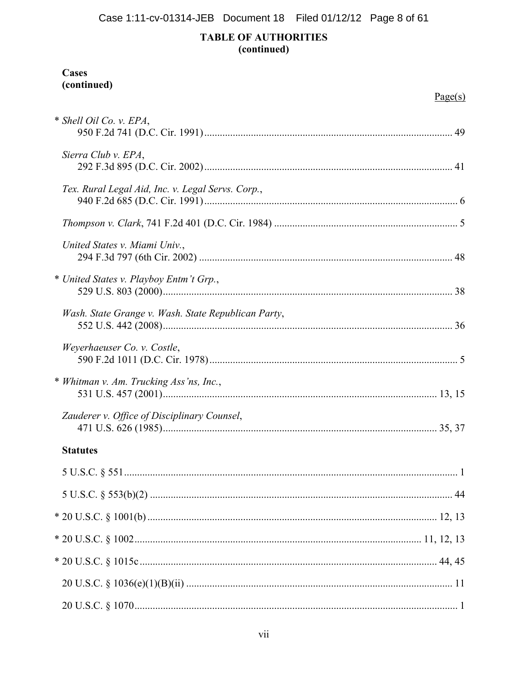Case 1:11-cv-01314-JEB Document 18 Filed 01/12/12 Page 8 of 61

# **TABLE OF AUTHORITIES** (continued)

# Cases (continued)

|                                                     | Page(s) |
|-----------------------------------------------------|---------|
| * Shell Oil Co. v. EPA,                             |         |
| Sierra Club v. EPA,                                 |         |
| Tex. Rural Legal Aid, Inc. v. Legal Servs. Corp.,   |         |
|                                                     |         |
| United States v. Miami Univ.,                       |         |
| * United States v. Playboy Entm't Grp.,             |         |
| Wash. State Grange v. Wash. State Republican Party, |         |
| Weyerhaeuser Co. v. Costle,                         |         |
| * Whitman v. Am. Trucking Ass'ns, Inc.,             |         |
| Zauderer v. Office of Disciplinary Counsel,         |         |
| <b>Statutes</b>                                     |         |
|                                                     |         |
|                                                     |         |
|                                                     |         |
|                                                     |         |
|                                                     |         |
|                                                     |         |
|                                                     |         |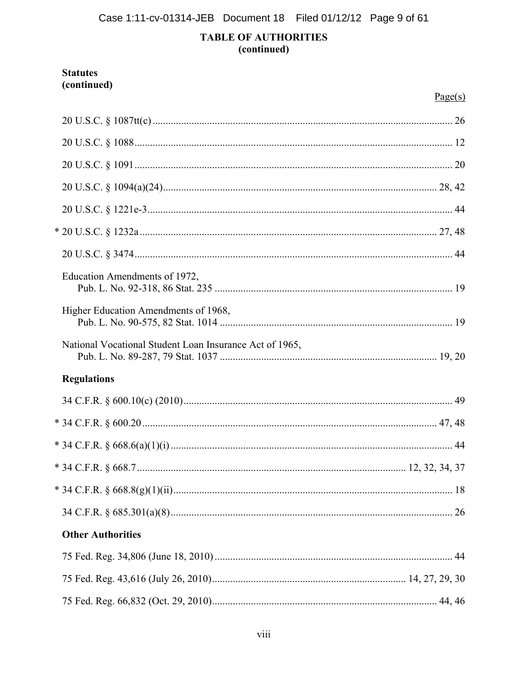# **TABLE OF AUTHORITIES** (continued)

### **Statutes** (continued)

|                                                         | Page(s) |
|---------------------------------------------------------|---------|
|                                                         |         |
|                                                         |         |
|                                                         |         |
|                                                         |         |
|                                                         |         |
|                                                         |         |
|                                                         |         |
| Education Amendments of 1972,                           |         |
| Higher Education Amendments of 1968,                    |         |
| National Vocational Student Loan Insurance Act of 1965, |         |
| <b>Regulations</b>                                      |         |
|                                                         |         |
|                                                         |         |
|                                                         |         |
|                                                         |         |
|                                                         |         |
|                                                         |         |
| <b>Other Authorities</b>                                |         |
|                                                         |         |
|                                                         |         |
|                                                         |         |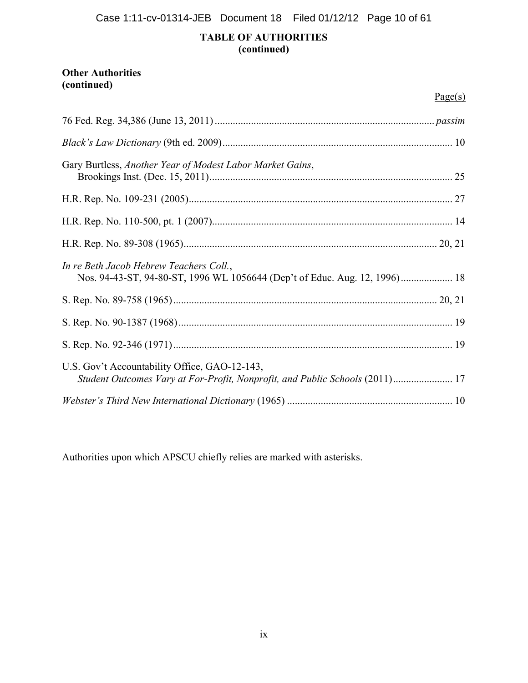Case 1:11-cv-01314-JEB Document 18 Filed 01/12/12 Page 10 of 61

### **TABLE OF AUTHORITIES (continued)**

# **Other Authorities (continued)**

|                                                                                                                               | Page(s) |
|-------------------------------------------------------------------------------------------------------------------------------|---------|
|                                                                                                                               |         |
|                                                                                                                               |         |
| Gary Burtless, Another Year of Modest Labor Market Gains,                                                                     |         |
|                                                                                                                               |         |
|                                                                                                                               |         |
|                                                                                                                               |         |
| In re Beth Jacob Hebrew Teachers Coll.,<br>Nos. 94-43-ST, 94-80-ST, 1996 WL 1056644 (Dep't of Educ. Aug. 12, 1996) 18         |         |
|                                                                                                                               |         |
|                                                                                                                               |         |
|                                                                                                                               |         |
| U.S. Gov't Accountability Office, GAO-12-143,<br>Student Outcomes Vary at For-Profit, Nonprofit, and Public Schools (2011) 17 |         |
|                                                                                                                               |         |

Authorities upon which APSCU chiefly relies are marked with asterisks.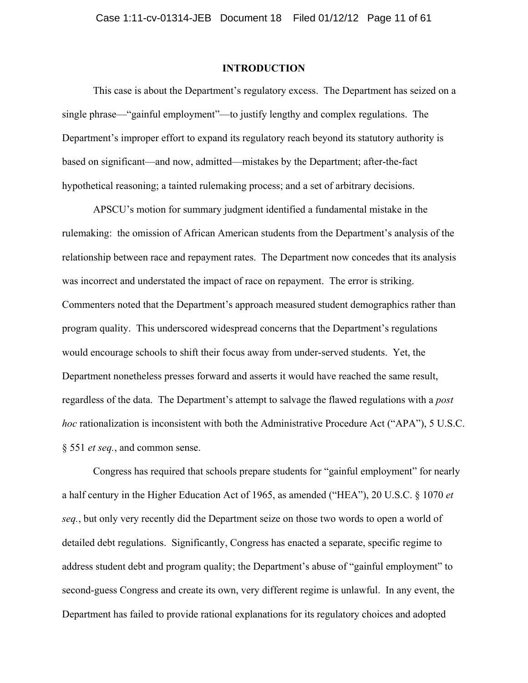### **INTRODUCTION**

This case is about the Department's regulatory excess. The Department has seized on a single phrase—"gainful employment"—to justify lengthy and complex regulations. The Department's improper effort to expand its regulatory reach beyond its statutory authority is based on significant—and now, admitted—mistakes by the Department; after-the-fact hypothetical reasoning; a tainted rulemaking process; and a set of arbitrary decisions.

APSCU's motion for summary judgment identified a fundamental mistake in the rulemaking: the omission of African American students from the Department's analysis of the relationship between race and repayment rates. The Department now concedes that its analysis was incorrect and understated the impact of race on repayment. The error is striking. Commenters noted that the Department's approach measured student demographics rather than program quality. This underscored widespread concerns that the Department's regulations would encourage schools to shift their focus away from under-served students. Yet, the Department nonetheless presses forward and asserts it would have reached the same result, regardless of the data. The Department's attempt to salvage the flawed regulations with a *post hoc* rationalization is inconsistent with both the Administrative Procedure Act ("APA"), 5 U.S.C. § 551 *et seq.*, and common sense.

Congress has required that schools prepare students for "gainful employment" for nearly a half century in the Higher Education Act of 1965, as amended ("HEA"), 20 U.S.C. § 1070 *et seq.*, but only very recently did the Department seize on those two words to open a world of detailed debt regulations. Significantly, Congress has enacted a separate, specific regime to address student debt and program quality; the Department's abuse of "gainful employment" to second-guess Congress and create its own, very different regime is unlawful. In any event, the Department has failed to provide rational explanations for its regulatory choices and adopted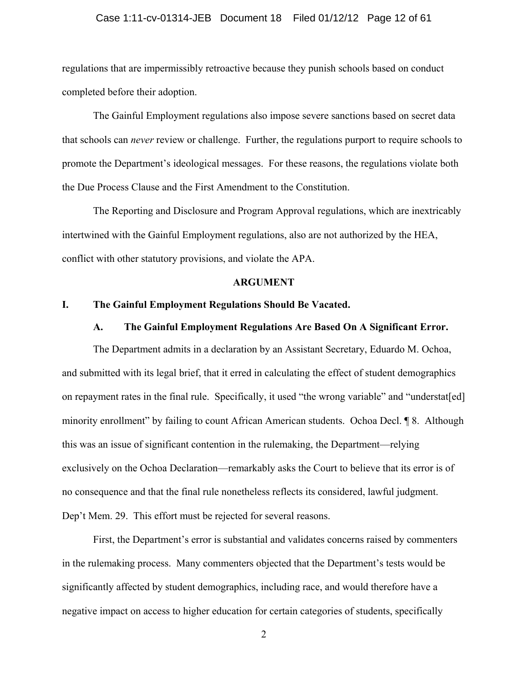#### Case 1:11-cv-01314-JEB Document 18 Filed 01/12/12 Page 12 of 61

regulations that are impermissibly retroactive because they punish schools based on conduct completed before their adoption.

The Gainful Employment regulations also impose severe sanctions based on secret data that schools can *never* review or challenge. Further, the regulations purport to require schools to promote the Department's ideological messages. For these reasons, the regulations violate both the Due Process Clause and the First Amendment to the Constitution.

The Reporting and Disclosure and Program Approval regulations, which are inextricably intertwined with the Gainful Employment regulations, also are not authorized by the HEA, conflict with other statutory provisions, and violate the APA.

#### **ARGUMENT**

### **I. The Gainful Employment Regulations Should Be Vacated.**

#### **A. The Gainful Employment Regulations Are Based On A Significant Error.**

The Department admits in a declaration by an Assistant Secretary, Eduardo M. Ochoa, and submitted with its legal brief, that it erred in calculating the effect of student demographics on repayment rates in the final rule. Specifically, it used "the wrong variable" and "understat[ed] minority enrollment" by failing to count African American students. Ochoa Decl. ¶ 8. Although this was an issue of significant contention in the rulemaking, the Department—relying exclusively on the Ochoa Declaration—remarkably asks the Court to believe that its error is of no consequence and that the final rule nonetheless reflects its considered, lawful judgment. Dep't Mem. 29. This effort must be rejected for several reasons.

First, the Department's error is substantial and validates concerns raised by commenters in the rulemaking process. Many commenters objected that the Department's tests would be significantly affected by student demographics, including race, and would therefore have a negative impact on access to higher education for certain categories of students, specifically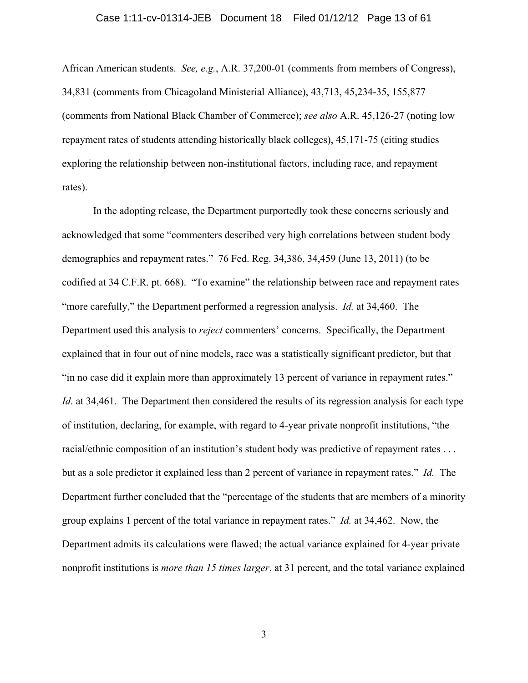#### Case 1:11-cv-01314-JEB Document 18 Filed 01/12/12 Page 13 of 61

African American students. *See, e.g.*, A.R. 37,200-01 (comments from members of Congress), 34,831 (comments from Chicagoland Ministerial Alliance), 43,713, 45,234-35, 155,877 (comments from National Black Chamber of Commerce); *see also* A.R. 45,126-27 (noting low repayment rates of students attending historically black colleges), 45,171-75 (citing studies exploring the relationship between non-institutional factors, including race, and repayment rates).

In the adopting release, the Department purportedly took these concerns seriously and acknowledged that some "commenters described very high correlations between student body demographics and repayment rates." 76 Fed. Reg. 34,386, 34,459 (June 13, 2011) (to be codified at 34 C.F.R. pt. 668). "To examine" the relationship between race and repayment rates "more carefully," the Department performed a regression analysis. *Id.* at 34,460. The Department used this analysis to *reject* commenters' concerns. Specifically, the Department explained that in four out of nine models, race was a statistically significant predictor, but that "in no case did it explain more than approximately 13 percent of variance in repayment rates." *Id.* at 34,461. The Department then considered the results of its regression analysis for each type of institution, declaring, for example, with regard to 4-year private nonprofit institutions, "the racial/ethnic composition of an institution's student body was predictive of repayment rates . . . but as a sole predictor it explained less than 2 percent of variance in repayment rates." *Id.* The Department further concluded that the "percentage of the students that are members of a minority group explains 1 percent of the total variance in repayment rates." *Id.* at 34,462. Now, the Department admits its calculations were flawed; the actual variance explained for 4-year private nonprofit institutions is *more than 15 times larger*, at 31 percent, and the total variance explained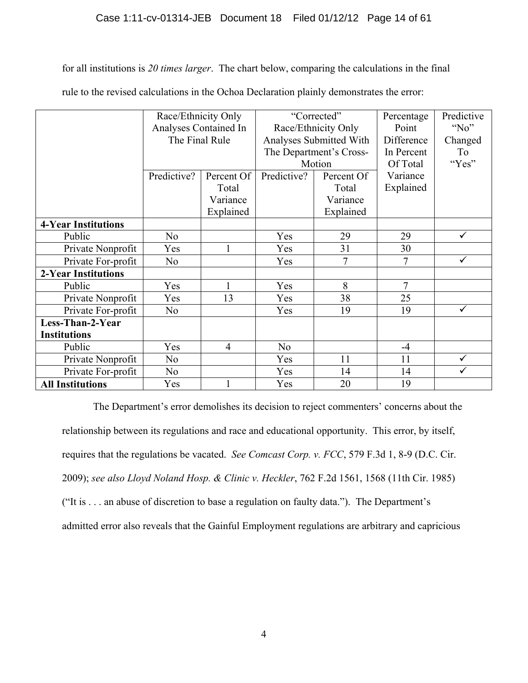for all institutions is *20 times larger*. The chart below, comparing the calculations in the final

|                            | Race/Ethnicity Only   |                | "Corrected"             |            | Percentage | Predictive   |
|----------------------------|-----------------------|----------------|-------------------------|------------|------------|--------------|
|                            | Analyses Contained In |                | Race/Ethnicity Only     |            | Point      | " $No$ "     |
|                            | The Final Rule        |                | Analyses Submitted With |            | Difference | Changed      |
|                            |                       |                | The Department's Cross- |            | In Percent | To           |
|                            |                       |                | Motion                  |            | Of Total   | "Yes"        |
|                            | Predictive?           | Percent Of     | Predictive?             | Percent Of | Variance   |              |
|                            |                       | Total          |                         | Total      | Explained  |              |
|                            |                       | Variance       |                         | Variance   |            |              |
|                            |                       | Explained      |                         | Explained  |            |              |
| <b>4-Year Institutions</b> |                       |                |                         |            |            |              |
| Public                     | N <sub>0</sub>        |                | Yes                     | 29         | 29         | ✓            |
| Private Nonprofit          | Yes                   |                | Yes                     | 31         | 30         |              |
| Private For-profit         | N <sub>o</sub>        |                | Yes                     | 7          | 7          | $\checkmark$ |
| <b>2-Year Institutions</b> |                       |                |                         |            |            |              |
| Public                     | Yes                   |                | Yes                     | 8          | 7          |              |
| Private Nonprofit          | Yes                   | 13             | Yes                     | 38         | 25         |              |
| Private For-profit         | N <sub>0</sub>        |                | Yes                     | 19         | 19         | $\checkmark$ |
| Less-Than-2-Year           |                       |                |                         |            |            |              |
| <b>Institutions</b>        |                       |                |                         |            |            |              |
| Public                     | Yes                   | $\overline{4}$ | N <sub>0</sub>          |            | $-4$       |              |
| Private Nonprofit          | N <sub>o</sub>        |                | Yes                     | 11         | 11         | $\checkmark$ |
| Private For-profit         | N <sub>o</sub>        |                | Yes                     | 14         | 14         | $\checkmark$ |
| <b>All Institutions</b>    | Yes                   |                | Yes                     | 20         | 19         |              |

rule to the revised calculations in the Ochoa Declaration plainly demonstrates the error:

The Department's error demolishes its decision to reject commenters' concerns about the relationship between its regulations and race and educational opportunity. This error, by itself, requires that the regulations be vacated. *See Comcast Corp. v. FCC*, 579 F.3d 1, 8-9 (D.C. Cir. 2009); *see also Lloyd Noland Hosp. & Clinic v. Heckler*, 762 F.2d 1561, 1568 (11th Cir. 1985) ("It is . . . an abuse of discretion to base a regulation on faulty data."). The Department's admitted error also reveals that the Gainful Employment regulations are arbitrary and capricious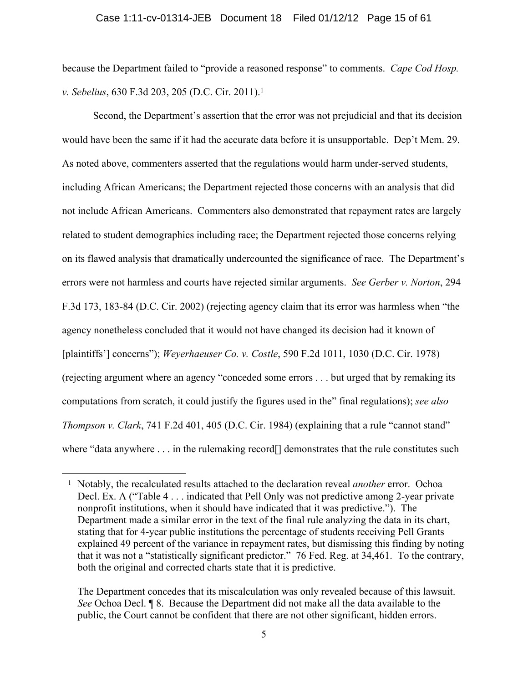because the Department failed to "provide a reasoned response" to comments. *Cape Cod Hosp. v. Sebelius*, 630 F.3d 203, 205 (D.C. Cir. 2011).1

Second, the Department's assertion that the error was not prejudicial and that its decision would have been the same if it had the accurate data before it is unsupportable. Dep't Mem. 29. As noted above, commenters asserted that the regulations would harm under-served students, including African Americans; the Department rejected those concerns with an analysis that did not include African Americans. Commenters also demonstrated that repayment rates are largely related to student demographics including race; the Department rejected those concerns relying on its flawed analysis that dramatically undercounted the significance of race. The Department's errors were not harmless and courts have rejected similar arguments. *See Gerber v. Norton*, 294 F.3d 173, 183-84 (D.C. Cir. 2002) (rejecting agency claim that its error was harmless when "the agency nonetheless concluded that it would not have changed its decision had it known of [plaintiffs'] concerns"); *Weyerhaeuser Co. v. Costle*, 590 F.2d 1011, 1030 (D.C. Cir. 1978) (rejecting argument where an agency "conceded some errors . . . but urged that by remaking its computations from scratch, it could justify the figures used in the" final regulations); *see also Thompson v. Clark*, 741 F.2d 401, 405 (D.C. Cir. 1984) (explaining that a rule "cannot stand" where "data anywhere . . . in the rulemaking record<sup>[]</sup> demonstrates that the rule constitutes such

<sup>1</sup> Notably, the recalculated results attached to the declaration reveal *another* error. Ochoa Decl. Ex. A ("Table 4 . . . indicated that Pell Only was not predictive among 2-year private nonprofit institutions, when it should have indicated that it was predictive."). The Department made a similar error in the text of the final rule analyzing the data in its chart, stating that for 4-year public institutions the percentage of students receiving Pell Grants explained 49 percent of the variance in repayment rates, but dismissing this finding by noting that it was not a "statistically significant predictor." 76 Fed. Reg. at 34,461. To the contrary, both the original and corrected charts state that it is predictive.

The Department concedes that its miscalculation was only revealed because of this lawsuit. *See* Ochoa Decl. ¶ 8. Because the Department did not make all the data available to the public, the Court cannot be confident that there are not other significant, hidden errors.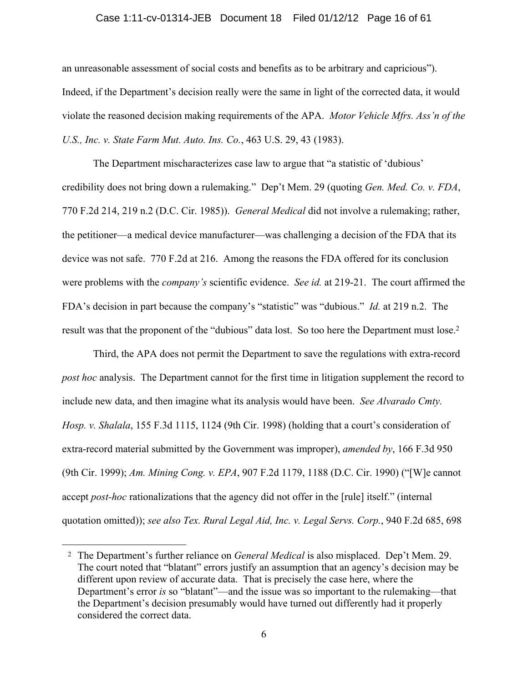#### Case 1:11-cv-01314-JEB Document 18 Filed 01/12/12 Page 16 of 61

an unreasonable assessment of social costs and benefits as to be arbitrary and capricious"). Indeed, if the Department's decision really were the same in light of the corrected data, it would violate the reasoned decision making requirements of the APA. *Motor Vehicle Mfrs. Ass'n of the U.S., Inc. v. State Farm Mut. Auto. Ins. Co.*, 463 U.S. 29, 43 (1983).

The Department mischaracterizes case law to argue that "a statistic of 'dubious' credibility does not bring down a rulemaking." Dep't Mem. 29 (quoting *Gen. Med. Co. v. FDA*, 770 F.2d 214, 219 n.2 (D.C. Cir. 1985)). *General Medical* did not involve a rulemaking; rather, the petitioner—a medical device manufacturer—was challenging a decision of the FDA that its device was not safe. 770 F.2d at 216. Among the reasons the FDA offered for its conclusion were problems with the *company's* scientific evidence. *See id.* at 219-21. The court affirmed the FDA's decision in part because the company's "statistic" was "dubious." *Id.* at 219 n.2. The result was that the proponent of the "dubious" data lost. So too here the Department must lose.<sup>2</sup>

Third, the APA does not permit the Department to save the regulations with extra-record *post hoc* analysis. The Department cannot for the first time in litigation supplement the record to include new data, and then imagine what its analysis would have been. *See Alvarado Cmty. Hosp. v. Shalala*, 155 F.3d 1115, 1124 (9th Cir. 1998) (holding that a court's consideration of extra-record material submitted by the Government was improper), *amended by*, 166 F.3d 950 (9th Cir. 1999); *Am. Mining Cong. v. EPA*, 907 F.2d 1179, 1188 (D.C. Cir. 1990) ("[W]e cannot accept *post-hoc* rationalizations that the agency did not offer in the [rule] itself." (internal quotation omitted)); *see also Tex. Rural Legal Aid, Inc. v. Legal Servs. Corp.*, 940 F.2d 685, 698

<sup>2</sup> The Department's further reliance on *General Medical* is also misplaced. Dep't Mem. 29. The court noted that "blatant" errors justify an assumption that an agency's decision may be different upon review of accurate data. That is precisely the case here, where the Department's error *is* so "blatant"—and the issue was so important to the rulemaking—that the Department's decision presumably would have turned out differently had it properly considered the correct data.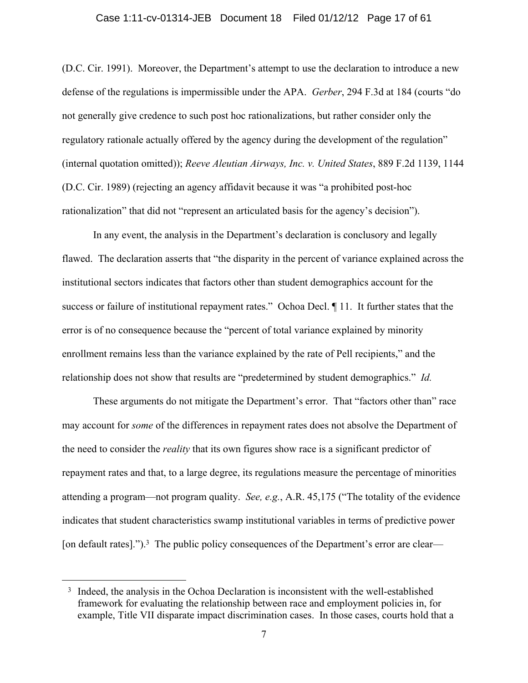#### Case 1:11-cv-01314-JEB Document 18 Filed 01/12/12 Page 17 of 61

(D.C. Cir. 1991). Moreover, the Department's attempt to use the declaration to introduce a new defense of the regulations is impermissible under the APA. *Gerber*, 294 F.3d at 184 (courts "do not generally give credence to such post hoc rationalizations, but rather consider only the regulatory rationale actually offered by the agency during the development of the regulation" (internal quotation omitted)); *Reeve Aleutian Airways, Inc. v. United States*, 889 F.2d 1139, 1144 (D.C. Cir. 1989) (rejecting an agency affidavit because it was "a prohibited post-hoc rationalization" that did not "represent an articulated basis for the agency's decision").

In any event, the analysis in the Department's declaration is conclusory and legally flawed. The declaration asserts that "the disparity in the percent of variance explained across the institutional sectors indicates that factors other than student demographics account for the success or failure of institutional repayment rates." Ochoa Decl. ¶ 11. It further states that the error is of no consequence because the "percent of total variance explained by minority enrollment remains less than the variance explained by the rate of Pell recipients," and the relationship does not show that results are "predetermined by student demographics." *Id.*

These arguments do not mitigate the Department's error. That "factors other than" race may account for *some* of the differences in repayment rates does not absolve the Department of the need to consider the *reality* that its own figures show race is a significant predictor of repayment rates and that, to a large degree, its regulations measure the percentage of minorities attending a program—not program quality. *See, e.g.*, A.R. 45,175 ("The totality of the evidence indicates that student characteristics swamp institutional variables in terms of predictive power [on default rates].").<sup>3</sup> The public policy consequences of the Department's error are clear—

<sup>3</sup> Indeed, the analysis in the Ochoa Declaration is inconsistent with the well-established framework for evaluating the relationship between race and employment policies in, for example, Title VII disparate impact discrimination cases. In those cases, courts hold that a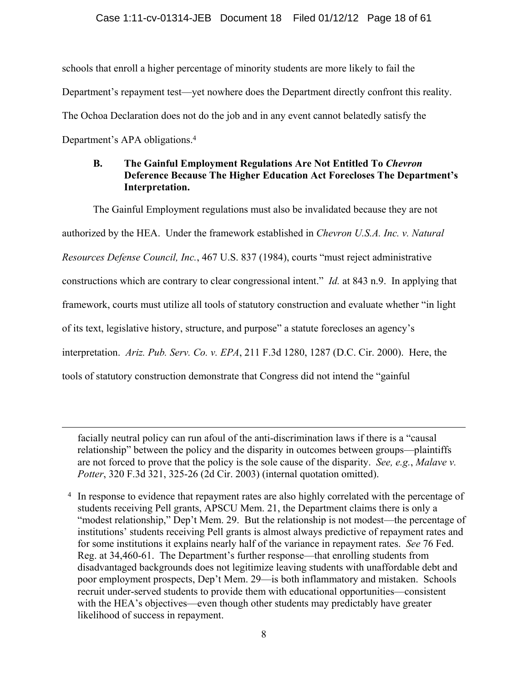schools that enroll a higher percentage of minority students are more likely to fail the Department's repayment test—yet nowhere does the Department directly confront this reality. The Ochoa Declaration does not do the job and in any event cannot belatedly satisfy the Department's APA obligations.4

### **B. The Gainful Employment Regulations Are Not Entitled To** *Chevron* **Deference Because The Higher Education Act Forecloses The Department's Interpretation.**

The Gainful Employment regulations must also be invalidated because they are not authorized by the HEA. Under the framework established in *Chevron U.S.A. Inc. v. Natural Resources Defense Council, Inc.*, 467 U.S. 837 (1984), courts "must reject administrative constructions which are contrary to clear congressional intent." *Id.* at 843 n.9. In applying that framework, courts must utilize all tools of statutory construction and evaluate whether "in light of its text, legislative history, structure, and purpose" a statute forecloses an agency's interpretation. *Ariz. Pub. Serv. Co. v. EPA*, 211 F.3d 1280, 1287 (D.C. Cir. 2000). Here, the tools of statutory construction demonstrate that Congress did not intend the "gainful

facially neutral policy can run afoul of the anti-discrimination laws if there is a "causal relationship" between the policy and the disparity in outcomes between groups—plaintiffs are not forced to prove that the policy is the sole cause of the disparity. *See, e.g.*, *Malave v. Potter*, 320 F.3d 321, 325-26 (2d Cir. 2003) (internal quotation omitted).

 $\overline{a}$ 

4 In response to evidence that repayment rates are also highly correlated with the percentage of students receiving Pell grants, APSCU Mem. 21, the Department claims there is only a "modest relationship," Dep't Mem. 29. But the relationship is not modest—the percentage of institutions' students receiving Pell grants is almost always predictive of repayment rates and for some institutions it explains nearly half of the variance in repayment rates. *See* 76 Fed. Reg. at 34,460-61. The Department's further response—that enrolling students from disadvantaged backgrounds does not legitimize leaving students with unaffordable debt and poor employment prospects, Dep't Mem. 29—is both inflammatory and mistaken. Schools recruit under-served students to provide them with educational opportunities—consistent with the HEA's objectives—even though other students may predictably have greater likelihood of success in repayment.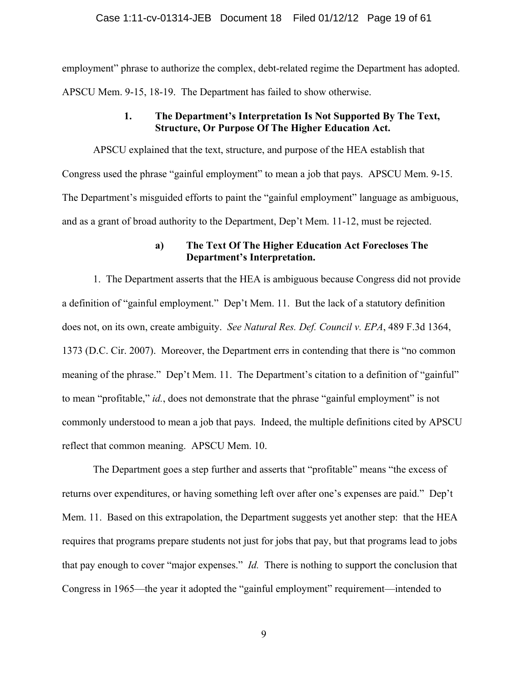employment" phrase to authorize the complex, debt-related regime the Department has adopted. APSCU Mem. 9-15, 18-19. The Department has failed to show otherwise.

### **1. The Department's Interpretation Is Not Supported By The Text, Structure, Or Purpose Of The Higher Education Act.**

APSCU explained that the text, structure, and purpose of the HEA establish that Congress used the phrase "gainful employment" to mean a job that pays. APSCU Mem. 9-15. The Department's misguided efforts to paint the "gainful employment" language as ambiguous, and as a grant of broad authority to the Department, Dep't Mem. 11-12, must be rejected.

### **a) The Text Of The Higher Education Act Forecloses The Department's Interpretation.**

1. The Department asserts that the HEA is ambiguous because Congress did not provide a definition of "gainful employment." Dep't Mem. 11. But the lack of a statutory definition does not, on its own, create ambiguity. *See Natural Res. Def. Council v. EPA*, 489 F.3d 1364, 1373 (D.C. Cir. 2007). Moreover, the Department errs in contending that there is "no common meaning of the phrase." Dep't Mem. 11. The Department's citation to a definition of "gainful" to mean "profitable," *id.*, does not demonstrate that the phrase "gainful employment" is not commonly understood to mean a job that pays. Indeed, the multiple definitions cited by APSCU reflect that common meaning. APSCU Mem. 10.

The Department goes a step further and asserts that "profitable" means "the excess of returns over expenditures, or having something left over after one's expenses are paid." Dep't Mem. 11. Based on this extrapolation, the Department suggests yet another step: that the HEA requires that programs prepare students not just for jobs that pay, but that programs lead to jobs that pay enough to cover "major expenses." *Id.* There is nothing to support the conclusion that Congress in 1965—the year it adopted the "gainful employment" requirement—intended to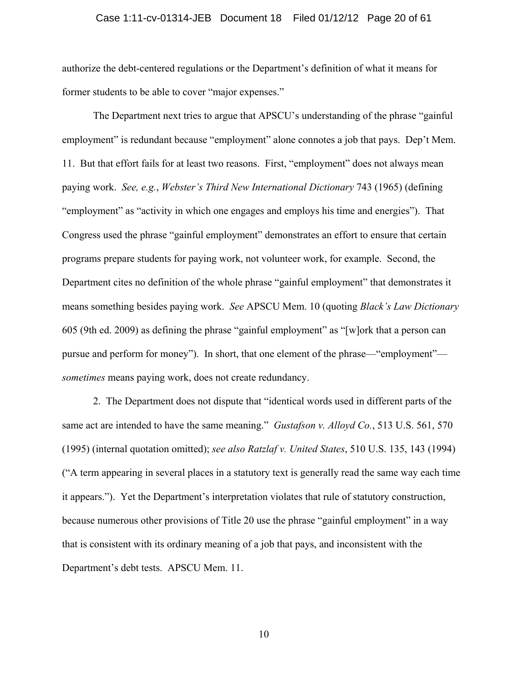#### Case 1:11-cv-01314-JEB Document 18 Filed 01/12/12 Page 20 of 61

authorize the debt-centered regulations or the Department's definition of what it means for former students to be able to cover "major expenses."

The Department next tries to argue that APSCU's understanding of the phrase "gainful employment" is redundant because "employment" alone connotes a job that pays. Dep't Mem. 11. But that effort fails for at least two reasons. First, "employment" does not always mean paying work. *See, e.g.*, *Webster's Third New International Dictionary* 743 (1965) (defining "employment" as "activity in which one engages and employs his time and energies"). That Congress used the phrase "gainful employment" demonstrates an effort to ensure that certain programs prepare students for paying work, not volunteer work, for example. Second, the Department cites no definition of the whole phrase "gainful employment" that demonstrates it means something besides paying work. *See* APSCU Mem. 10 (quoting *Black's Law Dictionary* 605 (9th ed. 2009) as defining the phrase "gainful employment" as "[w]ork that a person can pursue and perform for money"). In short, that one element of the phrase—"employment" *sometimes* means paying work, does not create redundancy.

2. The Department does not dispute that "identical words used in different parts of the same act are intended to have the same meaning." *Gustafson v. Alloyd Co.*, 513 U.S. 561, 570 (1995) (internal quotation omitted); *see also Ratzlaf v. United States*, 510 U.S. 135, 143 (1994) ("A term appearing in several places in a statutory text is generally read the same way each time it appears."). Yet the Department's interpretation violates that rule of statutory construction, because numerous other provisions of Title 20 use the phrase "gainful employment" in a way that is consistent with its ordinary meaning of a job that pays, and inconsistent with the Department's debt tests. APSCU Mem. 11.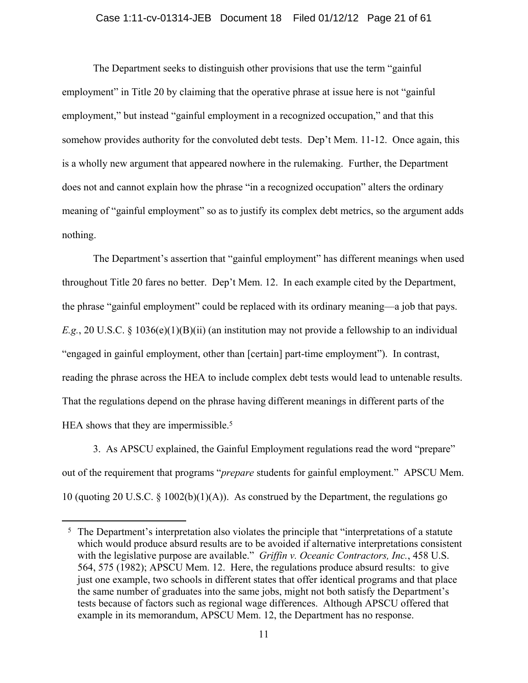#### Case 1:11-cv-01314-JEB Document 18 Filed 01/12/12 Page 21 of 61

The Department seeks to distinguish other provisions that use the term "gainful employment" in Title 20 by claiming that the operative phrase at issue here is not "gainful" employment," but instead "gainful employment in a recognized occupation," and that this somehow provides authority for the convoluted debt tests. Dep't Mem. 11-12. Once again, this is a wholly new argument that appeared nowhere in the rulemaking. Further, the Department does not and cannot explain how the phrase "in a recognized occupation" alters the ordinary meaning of "gainful employment" so as to justify its complex debt metrics, so the argument adds nothing.

The Department's assertion that "gainful employment" has different meanings when used throughout Title 20 fares no better. Dep't Mem. 12. In each example cited by the Department, the phrase "gainful employment" could be replaced with its ordinary meaning—a job that pays. *E.g.*, 20 U.S.C. § 1036(e)(1)(B)(ii) (an institution may not provide a fellowship to an individual "engaged in gainful employment, other than [certain] part-time employment"). In contrast, reading the phrase across the HEA to include complex debt tests would lead to untenable results. That the regulations depend on the phrase having different meanings in different parts of the HEA shows that they are impermissible.<sup>5</sup>

3. As APSCU explained, the Gainful Employment regulations read the word "prepare" out of the requirement that programs "*prepare* students for gainful employment." APSCU Mem. 10 (quoting 20 U.S.C. § 1002(b)(1)(A)). As construed by the Department, the regulations go

<sup>&</sup>lt;sup>5</sup> The Department's interpretation also violates the principle that "interpretations of a statute which would produce absurd results are to be avoided if alternative interpretations consistent with the legislative purpose are available." *Griffin v. Oceanic Contractors, Inc.*, 458 U.S. 564, 575 (1982); APSCU Mem. 12. Here, the regulations produce absurd results: to give just one example, two schools in different states that offer identical programs and that place the same number of graduates into the same jobs, might not both satisfy the Department's tests because of factors such as regional wage differences. Although APSCU offered that example in its memorandum, APSCU Mem. 12, the Department has no response.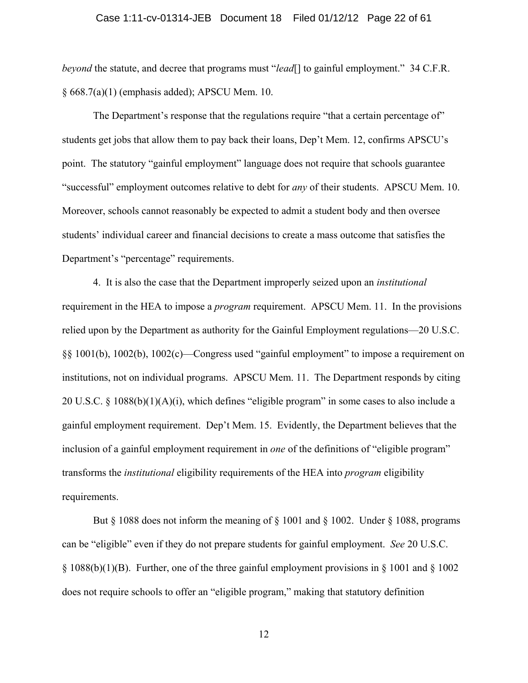#### Case 1:11-cv-01314-JEB Document 18 Filed 01/12/12 Page 22 of 61

*beyond* the statute, and decree that programs must "*lead*[] to gainful employment." 34 C.F.R. § 668.7(a)(1) (emphasis added); APSCU Mem. 10.

The Department's response that the regulations require "that a certain percentage of" students get jobs that allow them to pay back their loans, Dep't Mem. 12, confirms APSCU's point. The statutory "gainful employment" language does not require that schools guarantee "successful" employment outcomes relative to debt for *any* of their students. APSCU Mem. 10. Moreover, schools cannot reasonably be expected to admit a student body and then oversee students' individual career and financial decisions to create a mass outcome that satisfies the Department's "percentage" requirements.

4. It is also the case that the Department improperly seized upon an *institutional* requirement in the HEA to impose a *program* requirement. APSCU Mem. 11. In the provisions relied upon by the Department as authority for the Gainful Employment regulations—20 U.S.C. §§ 1001(b), 1002(b), 1002(c)—Congress used "gainful employment" to impose a requirement on institutions, not on individual programs. APSCU Mem. 11. The Department responds by citing 20 U.S.C.  $\S$  1088(b)(1)(A)(i), which defines "eligible program" in some cases to also include a gainful employment requirement. Dep't Mem. 15. Evidently, the Department believes that the inclusion of a gainful employment requirement in *one* of the definitions of "eligible program" transforms the *institutional* eligibility requirements of the HEA into *program* eligibility requirements.

But  $\S$  1088 does not inform the meaning of  $\S$  1001 and  $\S$  1002. Under  $\S$  1088, programs can be "eligible" even if they do not prepare students for gainful employment. *See* 20 U.S.C.  $\S$  1088(b)(1)(B). Further, one of the three gainful employment provisions in  $\S$  1001 and  $\S$  1002 does not require schools to offer an "eligible program," making that statutory definition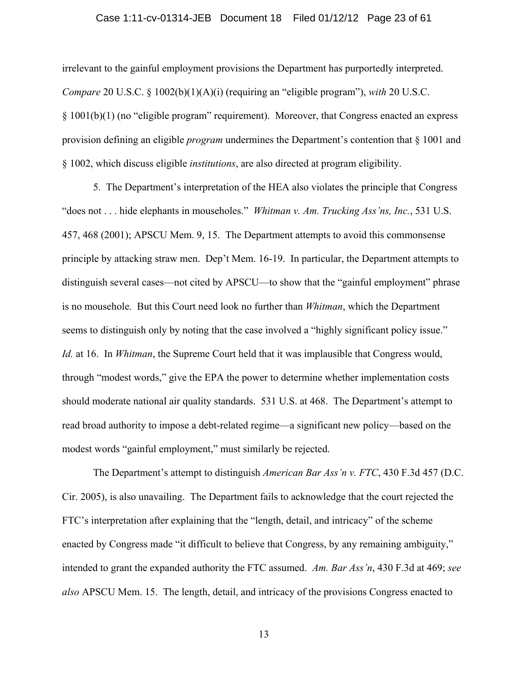#### Case 1:11-cv-01314-JEB Document 18 Filed 01/12/12 Page 23 of 61

irrelevant to the gainful employment provisions the Department has purportedly interpreted. *Compare* 20 U.S.C. § 1002(b)(1)(A)(i) (requiring an "eligible program"), *with* 20 U.S.C. § 1001(b)(1) (no "eligible program" requirement). Moreover, that Congress enacted an express provision defining an eligible *program* undermines the Department's contention that § 1001 and § 1002, which discuss eligible *institutions*, are also directed at program eligibility.

5. The Department's interpretation of the HEA also violates the principle that Congress "does not . . . hide elephants in mouseholes." *Whitman v. Am. Trucking Ass'ns, Inc.*, 531 U.S. 457, 468 (2001); APSCU Mem. 9, 15. The Department attempts to avoid this commonsense principle by attacking straw men. Dep't Mem. 16-19. In particular, the Department attempts to distinguish several cases—not cited by APSCU—to show that the "gainful employment" phrase is no mousehole. But this Court need look no further than *Whitman*, which the Department seems to distinguish only by noting that the case involved a "highly significant policy issue." *Id.* at 16. In *Whitman*, the Supreme Court held that it was implausible that Congress would, through "modest words," give the EPA the power to determine whether implementation costs should moderate national air quality standards. 531 U.S. at 468. The Department's attempt to read broad authority to impose a debt-related regime—a significant new policy—based on the modest words "gainful employment," must similarly be rejected.

The Department's attempt to distinguish *American Bar Ass'n v. FTC*, 430 F.3d 457 (D.C. Cir. 2005), is also unavailing. The Department fails to acknowledge that the court rejected the FTC's interpretation after explaining that the "length, detail, and intricacy" of the scheme enacted by Congress made "it difficult to believe that Congress, by any remaining ambiguity," intended to grant the expanded authority the FTC assumed. *Am. Bar Ass'n*, 430 F.3d at 469; *see also* APSCU Mem. 15. The length, detail, and intricacy of the provisions Congress enacted to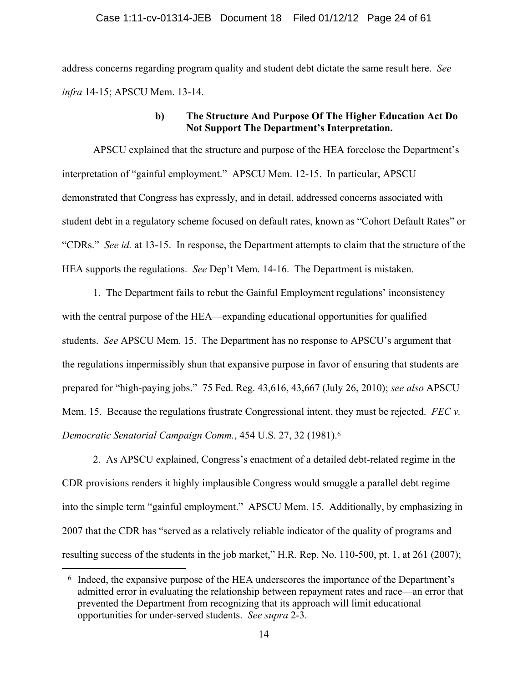#### Case 1:11-cv-01314-JEB Document 18 Filed 01/12/12 Page 24 of 61

address concerns regarding program quality and student debt dictate the same result here. *See infra* 14-15; APSCU Mem. 13-14.

### **b) The Structure And Purpose Of The Higher Education Act Do Not Support The Department's Interpretation.**

APSCU explained that the structure and purpose of the HEA foreclose the Department's interpretation of "gainful employment." APSCU Mem. 12-15. In particular, APSCU demonstrated that Congress has expressly, and in detail, addressed concerns associated with student debt in a regulatory scheme focused on default rates, known as "Cohort Default Rates" or "CDRs." *See id.* at 13-15. In response, the Department attempts to claim that the structure of the HEA supports the regulations. *See* Dep't Mem. 14-16. The Department is mistaken.

1. The Department fails to rebut the Gainful Employment regulations' inconsistency with the central purpose of the HEA—expanding educational opportunities for qualified students. *See* APSCU Mem. 15. The Department has no response to APSCU's argument that the regulations impermissibly shun that expansive purpose in favor of ensuring that students are prepared for "high-paying jobs." 75 Fed. Reg. 43,616, 43,667 (July 26, 2010); *see also* APSCU Mem. 15. Because the regulations frustrate Congressional intent, they must be rejected. *FEC v. Democratic Senatorial Campaign Comm.*, 454 U.S. 27, 32 (1981).6

2. As APSCU explained, Congress's enactment of a detailed debt-related regime in the CDR provisions renders it highly implausible Congress would smuggle a parallel debt regime into the simple term "gainful employment." APSCU Mem. 15. Additionally, by emphasizing in 2007 that the CDR has "served as a relatively reliable indicator of the quality of programs and resulting success of the students in the job market," H.R. Rep. No. 110-500, pt. 1, at 261 (2007);

<sup>6</sup> Indeed, the expansive purpose of the HEA underscores the importance of the Department's admitted error in evaluating the relationship between repayment rates and race—an error that prevented the Department from recognizing that its approach will limit educational opportunities for under-served students. *See supra* 2-3.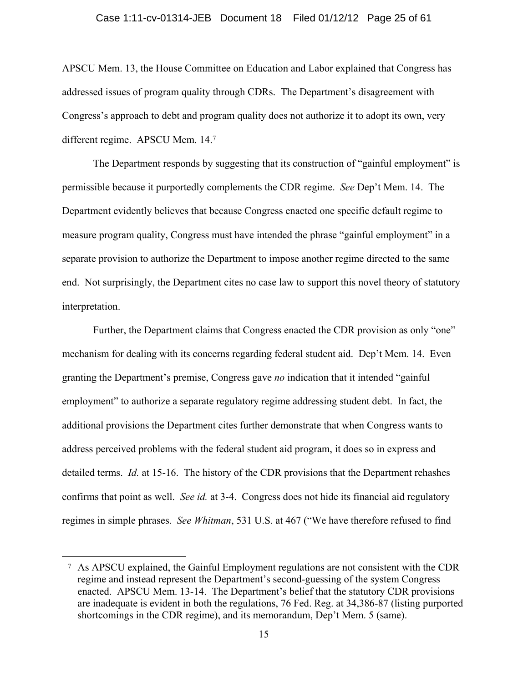#### Case 1:11-cv-01314-JEB Document 18 Filed 01/12/12 Page 25 of 61

APSCU Mem. 13, the House Committee on Education and Labor explained that Congress has addressed issues of program quality through CDRs. The Department's disagreement with Congress's approach to debt and program quality does not authorize it to adopt its own, very different regime. APSCU Mem. 14.7

The Department responds by suggesting that its construction of "gainful employment" is permissible because it purportedly complements the CDR regime. *See* Dep't Mem. 14. The Department evidently believes that because Congress enacted one specific default regime to measure program quality, Congress must have intended the phrase "gainful employment" in a separate provision to authorize the Department to impose another regime directed to the same end. Not surprisingly, the Department cites no case law to support this novel theory of statutory interpretation.

Further, the Department claims that Congress enacted the CDR provision as only "one" mechanism for dealing with its concerns regarding federal student aid. Dep't Mem. 14. Even granting the Department's premise, Congress gave *no* indication that it intended "gainful employment" to authorize a separate regulatory regime addressing student debt. In fact, the additional provisions the Department cites further demonstrate that when Congress wants to address perceived problems with the federal student aid program, it does so in express and detailed terms. *Id.* at 15-16. The history of the CDR provisions that the Department rehashes confirms that point as well. *See id.* at 3-4. Congress does not hide its financial aid regulatory regimes in simple phrases. *See Whitman*, 531 U.S. at 467 ("We have therefore refused to find

<sup>7</sup> As APSCU explained, the Gainful Employment regulations are not consistent with the CDR regime and instead represent the Department's second-guessing of the system Congress enacted. APSCU Mem. 13-14. The Department's belief that the statutory CDR provisions are inadequate is evident in both the regulations, 76 Fed. Reg. at 34,386-87 (listing purported shortcomings in the CDR regime), and its memorandum, Dep't Mem. 5 (same).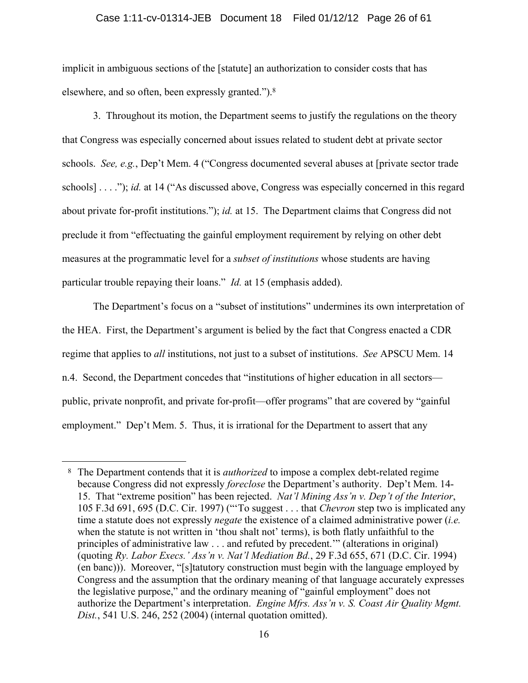#### Case 1:11-cv-01314-JEB Document 18 Filed 01/12/12 Page 26 of 61

implicit in ambiguous sections of the [statute] an authorization to consider costs that has elsewhere, and so often, been expressly granted.").8

3. Throughout its motion, the Department seems to justify the regulations on the theory that Congress was especially concerned about issues related to student debt at private sector schools. *See, e.g.*, Dep't Mem. 4 ("Congress documented several abuses at [private sector trade schools] . . . ."); *id.* at 14 ("As discussed above, Congress was especially concerned in this regard about private for-profit institutions."); *id.* at 15. The Department claims that Congress did not preclude it from "effectuating the gainful employment requirement by relying on other debt measures at the programmatic level for a *subset of institutions* whose students are having particular trouble repaying their loans." *Id.* at 15 (emphasis added).

The Department's focus on a "subset of institutions" undermines its own interpretation of the HEA. First, the Department's argument is belied by the fact that Congress enacted a CDR regime that applies to *all* institutions, not just to a subset of institutions. *See* APSCU Mem. 14 n.4. Second, the Department concedes that "institutions of higher education in all sectors public, private nonprofit, and private for-profit—offer programs" that are covered by "gainful employment." Dep't Mem. 5. Thus, it is irrational for the Department to assert that any

<sup>8</sup> The Department contends that it is *authorized* to impose a complex debt-related regime because Congress did not expressly *foreclose* the Department's authority. Dep't Mem. 14- 15. That "extreme position" has been rejected. *Nat'l Mining Ass'n v. Dep't of the Interior*, 105 F.3d 691, 695 (D.C. Cir. 1997) ("'To suggest . . . that *Chevron* step two is implicated any time a statute does not expressly *negate* the existence of a claimed administrative power (*i.e.* when the statute is not written in 'thou shalt not' terms), is both flatly unfaithful to the principles of administrative law . . . and refuted by precedent.'" (alterations in original) (quoting *Ry. Labor Execs.' Ass'n v. Nat'l Mediation Bd.*, 29 F.3d 655, 671 (D.C. Cir. 1994) (en banc))). Moreover, "[s]tatutory construction must begin with the language employed by Congress and the assumption that the ordinary meaning of that language accurately expresses the legislative purpose," and the ordinary meaning of "gainful employment" does not authorize the Department's interpretation. *Engine Mfrs. Ass'n v. S. Coast Air Quality Mgmt. Dist.*, 541 U.S. 246, 252 (2004) (internal quotation omitted).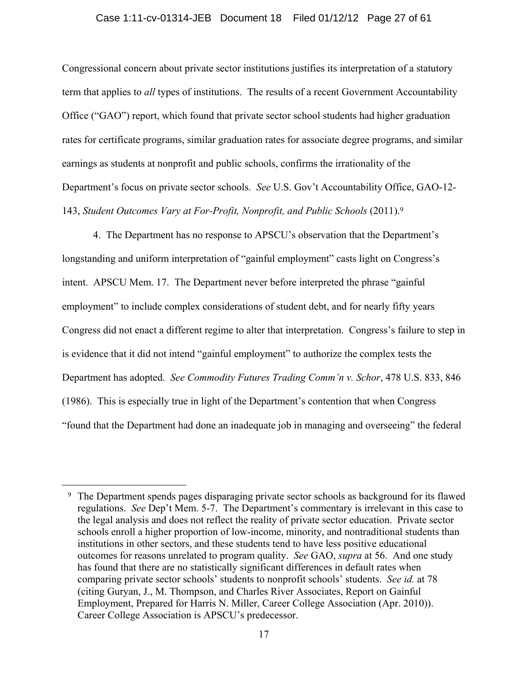#### Case 1:11-cv-01314-JEB Document 18 Filed 01/12/12 Page 27 of 61

Congressional concern about private sector institutions justifies its interpretation of a statutory term that applies to *all* types of institutions. The results of a recent Government Accountability Office ("GAO") report, which found that private sector school students had higher graduation rates for certificate programs, similar graduation rates for associate degree programs, and similar earnings as students at nonprofit and public schools, confirms the irrationality of the Department's focus on private sector schools. *See* U.S. Gov't Accountability Office, GAO-12- 143, *Student Outcomes Vary at For-Profit, Nonprofit, and Public Schools* (2011).9

4. The Department has no response to APSCU's observation that the Department's longstanding and uniform interpretation of "gainful employment" casts light on Congress's intent. APSCU Mem. 17. The Department never before interpreted the phrase "gainful employment" to include complex considerations of student debt, and for nearly fifty years Congress did not enact a different regime to alter that interpretation. Congress's failure to step in is evidence that it did not intend "gainful employment" to authorize the complex tests the Department has adopted. *See Commodity Futures Trading Comm'n v. Schor*, 478 U.S. 833, 846 (1986). This is especially true in light of the Department's contention that when Congress "found that the Department had done an inadequate job in managing and overseeing" the federal

<sup>&</sup>lt;sup>9</sup> The Department spends pages disparaging private sector schools as background for its flawed regulations. *See* Dep't Mem. 5-7. The Department's commentary is irrelevant in this case to the legal analysis and does not reflect the reality of private sector education. Private sector schools enroll a higher proportion of low-income, minority, and nontraditional students than institutions in other sectors, and these students tend to have less positive educational outcomes for reasons unrelated to program quality. *See* GAO, *supra* at 56. And one study has found that there are no statistically significant differences in default rates when comparing private sector schools' students to nonprofit schools' students. *See id.* at 78 (citing Guryan, J., M. Thompson, and Charles River Associates, Report on Gainful Employment, Prepared for Harris N. Miller, Career College Association (Apr. 2010)). Career College Association is APSCU's predecessor.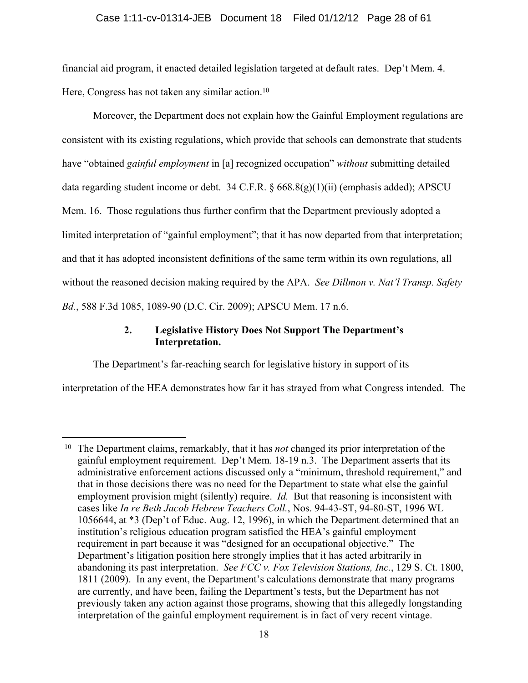### Case 1:11-cv-01314-JEB Document 18 Filed 01/12/12 Page 28 of 61

financial aid program, it enacted detailed legislation targeted at default rates. Dep't Mem. 4. Here, Congress has not taken any similar action.<sup>10</sup>

Moreover, the Department does not explain how the Gainful Employment regulations are consistent with its existing regulations, which provide that schools can demonstrate that students have "obtained *gainful employment* in [a] recognized occupation" *without* submitting detailed data regarding student income or debt. 34 C.F.R. § 668.8(g)(1)(ii) (emphasis added); APSCU Mem. 16. Those regulations thus further confirm that the Department previously adopted a limited interpretation of "gainful employment"; that it has now departed from that interpretation; and that it has adopted inconsistent definitions of the same term within its own regulations, all without the reasoned decision making required by the APA. *See Dillmon v. Nat'l Transp. Safety Bd.*, 588 F.3d 1085, 1089-90 (D.C. Cir. 2009); APSCU Mem. 17 n.6.

### **2. Legislative History Does Not Support The Department's Interpretation.**

The Department's far-reaching search for legislative history in support of its

1

interpretation of the HEA demonstrates how far it has strayed from what Congress intended. The

<sup>10</sup> The Department claims, remarkably, that it has *not* changed its prior interpretation of the gainful employment requirement. Dep't Mem. 18-19 n.3. The Department asserts that its administrative enforcement actions discussed only a "minimum, threshold requirement," and that in those decisions there was no need for the Department to state what else the gainful employment provision might (silently) require. *Id.* But that reasoning is inconsistent with cases like *In re Beth Jacob Hebrew Teachers Coll.*, Nos. 94-43-ST, 94-80-ST, 1996 WL 1056644, at \*3 (Dep't of Educ. Aug. 12, 1996), in which the Department determined that an institution's religious education program satisfied the HEA's gainful employment requirement in part because it was "designed for an occupational objective." The Department's litigation position here strongly implies that it has acted arbitrarily in abandoning its past interpretation. *See FCC v. Fox Television Stations, Inc.*, 129 S. Ct. 1800, 1811 (2009). In any event, the Department's calculations demonstrate that many programs are currently, and have been, failing the Department's tests, but the Department has not previously taken any action against those programs, showing that this allegedly longstanding interpretation of the gainful employment requirement is in fact of very recent vintage.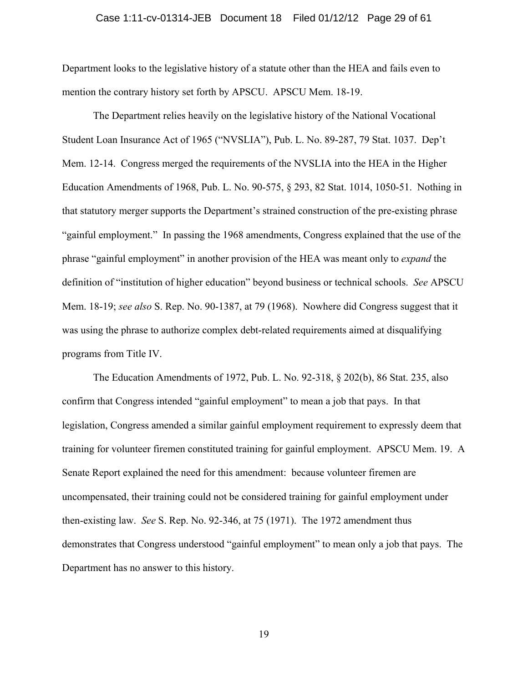#### Case 1:11-cv-01314-JEB Document 18 Filed 01/12/12 Page 29 of 61

Department looks to the legislative history of a statute other than the HEA and fails even to mention the contrary history set forth by APSCU. APSCU Mem. 18-19.

The Department relies heavily on the legislative history of the National Vocational Student Loan Insurance Act of 1965 ("NVSLIA"), Pub. L. No. 89-287, 79 Stat. 1037. Dep't Mem. 12-14. Congress merged the requirements of the NVSLIA into the HEA in the Higher Education Amendments of 1968, Pub. L. No. 90-575, § 293, 82 Stat. 1014, 1050-51. Nothing in that statutory merger supports the Department's strained construction of the pre-existing phrase "gainful employment." In passing the 1968 amendments, Congress explained that the use of the phrase "gainful employment" in another provision of the HEA was meant only to *expand* the definition of "institution of higher education" beyond business or technical schools. *See* APSCU Mem. 18-19; *see also* S. Rep. No. 90-1387, at 79 (1968). Nowhere did Congress suggest that it was using the phrase to authorize complex debt-related requirements aimed at disqualifying programs from Title IV.

The Education Amendments of 1972, Pub. L. No. 92-318, § 202(b), 86 Stat. 235, also confirm that Congress intended "gainful employment" to mean a job that pays. In that legislation, Congress amended a similar gainful employment requirement to expressly deem that training for volunteer firemen constituted training for gainful employment. APSCU Mem. 19. A Senate Report explained the need for this amendment: because volunteer firemen are uncompensated, their training could not be considered training for gainful employment under then-existing law. *See* S. Rep. No. 92-346, at 75 (1971). The 1972 amendment thus demonstrates that Congress understood "gainful employment" to mean only a job that pays. The Department has no answer to this history.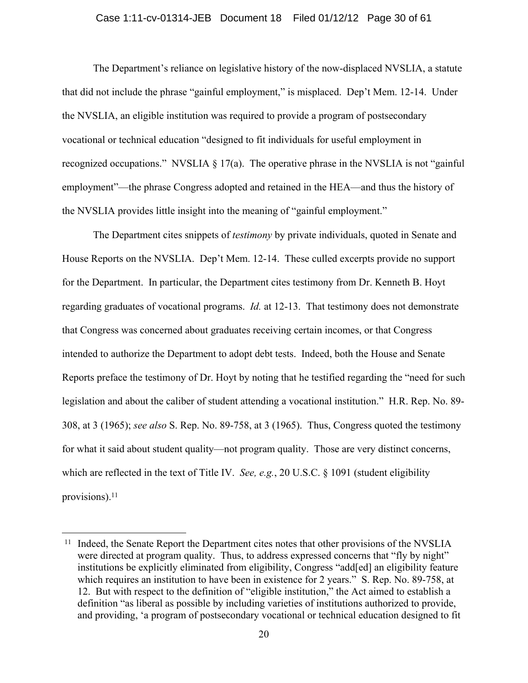#### Case 1:11-cv-01314-JEB Document 18 Filed 01/12/12 Page 30 of 61

The Department's reliance on legislative history of the now-displaced NVSLIA, a statute that did not include the phrase "gainful employment," is misplaced. Dep't Mem. 12-14. Under the NVSLIA, an eligible institution was required to provide a program of postsecondary vocational or technical education "designed to fit individuals for useful employment in recognized occupations." NVSLIA  $\S$  17(a). The operative phrase in the NVSLIA is not "gainful employment"—the phrase Congress adopted and retained in the HEA—and thus the history of the NVSLIA provides little insight into the meaning of "gainful employment."

The Department cites snippets of *testimony* by private individuals, quoted in Senate and House Reports on the NVSLIA. Dep't Mem. 12-14. These culled excerpts provide no support for the Department. In particular, the Department cites testimony from Dr. Kenneth B. Hoyt regarding graduates of vocational programs. *Id.* at 12-13. That testimony does not demonstrate that Congress was concerned about graduates receiving certain incomes, or that Congress intended to authorize the Department to adopt debt tests. Indeed, both the House and Senate Reports preface the testimony of Dr. Hoyt by noting that he testified regarding the "need for such legislation and about the caliber of student attending a vocational institution." H.R. Rep. No. 89- 308, at 3 (1965); *see also* S. Rep. No. 89-758, at 3 (1965). Thus, Congress quoted the testimony for what it said about student quality—not program quality. Those are very distinct concerns, which are reflected in the text of Title IV. *See, e.g.*, 20 U.S.C. § 1091 (student eligibility provisions).11

<sup>&</sup>lt;sup>11</sup> Indeed, the Senate Report the Department cites notes that other provisions of the NVSLIA were directed at program quality. Thus, to address expressed concerns that "fly by night" institutions be explicitly eliminated from eligibility, Congress "add[ed] an eligibility feature which requires an institution to have been in existence for 2 years." S. Rep. No. 89-758, at 12.But with respect to the definition of "eligible institution," the Act aimed to establish a definition "as liberal as possible by including varieties of institutions authorized to provide, and providing, 'a program of postsecondary vocational or technical education designed to fit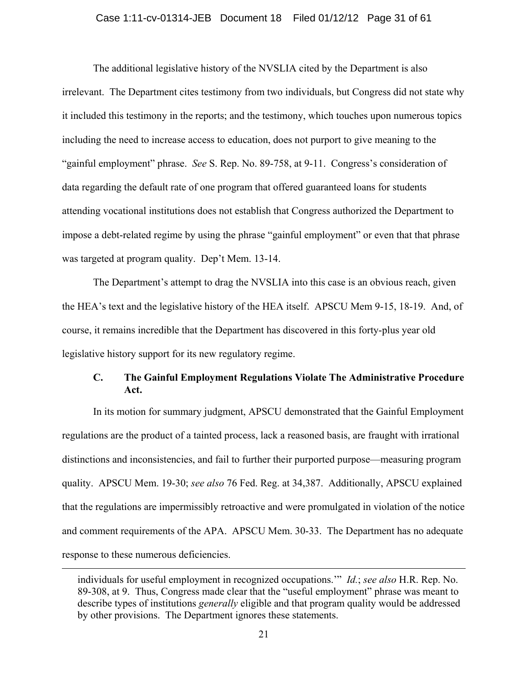### Case 1:11-cv-01314-JEB Document 18 Filed 01/12/12 Page 31 of 61

The additional legislative history of the NVSLIA cited by the Department is also irrelevant. The Department cites testimony from two individuals, but Congress did not state why it included this testimony in the reports; and the testimony, which touches upon numerous topics including the need to increase access to education, does not purport to give meaning to the "gainful employment" phrase. *See* S. Rep. No. 89-758, at 9-11. Congress's consideration of data regarding the default rate of one program that offered guaranteed loans for students attending vocational institutions does not establish that Congress authorized the Department to impose a debt-related regime by using the phrase "gainful employment" or even that that phrase was targeted at program quality. Dep't Mem. 13-14.

The Department's attempt to drag the NVSLIA into this case is an obvious reach, given the HEA's text and the legislative history of the HEA itself. APSCU Mem 9-15, 18-19. And, of course, it remains incredible that the Department has discovered in this forty-plus year old legislative history support for its new regulatory regime.

### **C. The Gainful Employment Regulations Violate The Administrative Procedure Act.**

In its motion for summary judgment, APSCU demonstrated that the Gainful Employment regulations are the product of a tainted process, lack a reasoned basis, are fraught with irrational distinctions and inconsistencies, and fail to further their purported purpose—measuring program quality. APSCU Mem. 19-30; *see also* 76 Fed. Reg. at 34,387. Additionally, APSCU explained that the regulations are impermissibly retroactive and were promulgated in violation of the notice and comment requirements of the APA. APSCU Mem. 30-33. The Department has no adequate response to these numerous deficiencies.

individuals for useful employment in recognized occupations.'" *Id.*; *see also* H.R. Rep. No. 89-308, at 9. Thus, Congress made clear that the "useful employment" phrase was meant to describe types of institutions *generally* eligible and that program quality would be addressed by other provisions. The Department ignores these statements.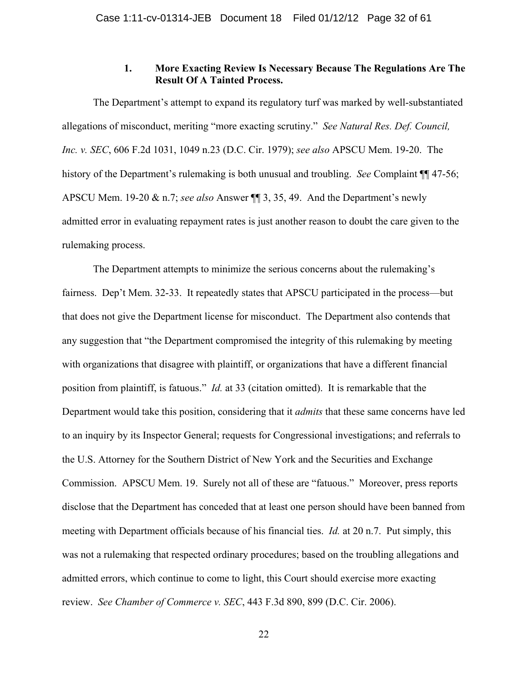### **1. More Exacting Review Is Necessary Because The Regulations Are The Result Of A Tainted Process.**

The Department's attempt to expand its regulatory turf was marked by well-substantiated allegations of misconduct, meriting "more exacting scrutiny." *See Natural Res. Def. Council, Inc. v. SEC*, 606 F.2d 1031, 1049 n.23 (D.C. Cir. 1979); *see also* APSCU Mem. 19-20. The history of the Department's rulemaking is both unusual and troubling. *See* Complaint ¶¶ 47-56; APSCU Mem. 19-20 & n.7; *see also* Answer ¶¶ 3, 35, 49. And the Department's newly admitted error in evaluating repayment rates is just another reason to doubt the care given to the rulemaking process.

The Department attempts to minimize the serious concerns about the rulemaking's fairness. Dep't Mem. 32-33. It repeatedly states that APSCU participated in the process—but that does not give the Department license for misconduct. The Department also contends that any suggestion that "the Department compromised the integrity of this rulemaking by meeting with organizations that disagree with plaintiff, or organizations that have a different financial position from plaintiff, is fatuous." *Id.* at 33 (citation omitted). It is remarkable that the Department would take this position, considering that it *admits* that these same concerns have led to an inquiry by its Inspector General; requests for Congressional investigations; and referrals to the U.S. Attorney for the Southern District of New York and the Securities and Exchange Commission. APSCU Mem. 19. Surely not all of these are "fatuous." Moreover, press reports disclose that the Department has conceded that at least one person should have been banned from meeting with Department officials because of his financial ties. *Id.* at 20 n.7. Put simply, this was not a rulemaking that respected ordinary procedures; based on the troubling allegations and admitted errors, which continue to come to light, this Court should exercise more exacting review. *See Chamber of Commerce v. SEC*, 443 F.3d 890, 899 (D.C. Cir. 2006).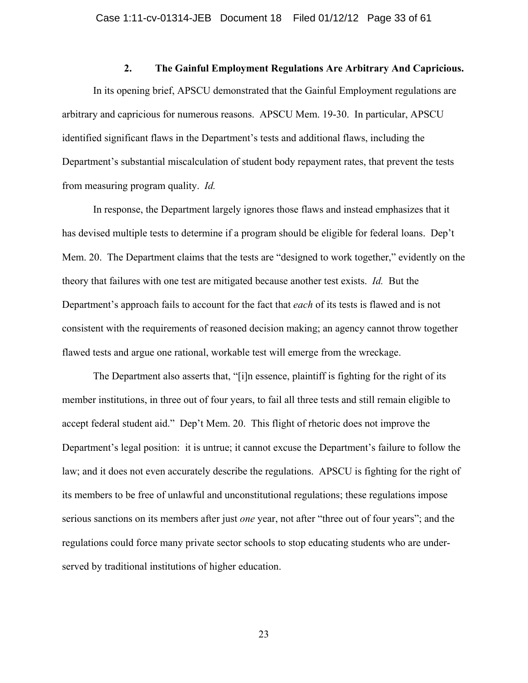### **2. The Gainful Employment Regulations Are Arbitrary And Capricious.**

In its opening brief, APSCU demonstrated that the Gainful Employment regulations are arbitrary and capricious for numerous reasons. APSCU Mem. 19-30. In particular, APSCU identified significant flaws in the Department's tests and additional flaws, including the Department's substantial miscalculation of student body repayment rates, that prevent the tests from measuring program quality. *Id.*

In response, the Department largely ignores those flaws and instead emphasizes that it has devised multiple tests to determine if a program should be eligible for federal loans. Dep't Mem. 20. The Department claims that the tests are "designed to work together," evidently on the theory that failures with one test are mitigated because another test exists. *Id.* But the Department's approach fails to account for the fact that *each* of its tests is flawed and is not consistent with the requirements of reasoned decision making; an agency cannot throw together flawed tests and argue one rational, workable test will emerge from the wreckage.

The Department also asserts that, "[i]n essence, plaintiff is fighting for the right of its member institutions, in three out of four years, to fail all three tests and still remain eligible to accept federal student aid." Dep't Mem. 20. This flight of rhetoric does not improve the Department's legal position: it is untrue; it cannot excuse the Department's failure to follow the law; and it does not even accurately describe the regulations. APSCU is fighting for the right of its members to be free of unlawful and unconstitutional regulations; these regulations impose serious sanctions on its members after just *one* year, not after "three out of four years"; and the regulations could force many private sector schools to stop educating students who are underserved by traditional institutions of higher education.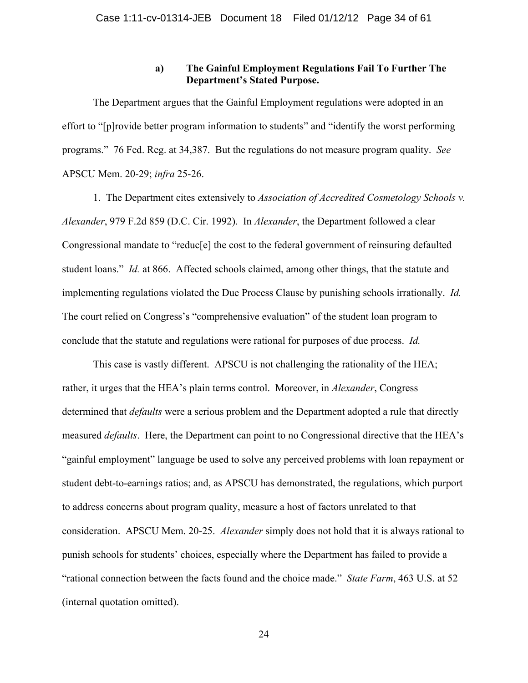### **a) The Gainful Employment Regulations Fail To Further The Department's Stated Purpose.**

The Department argues that the Gainful Employment regulations were adopted in an effort to "[p]rovide better program information to students" and "identify the worst performing programs." 76 Fed. Reg. at 34,387. But the regulations do not measure program quality. *See* APSCU Mem. 20-29; *infra* 25-26.

1. The Department cites extensively to *Association of Accredited Cosmetology Schools v. Alexander*, 979 F.2d 859 (D.C. Cir. 1992). In *Alexander*, the Department followed a clear Congressional mandate to "reduc[e] the cost to the federal government of reinsuring defaulted student loans." *Id.* at 866. Affected schools claimed, among other things, that the statute and implementing regulations violated the Due Process Clause by punishing schools irrationally. *Id.* The court relied on Congress's "comprehensive evaluation" of the student loan program to conclude that the statute and regulations were rational for purposes of due process. *Id.*

This case is vastly different. APSCU is not challenging the rationality of the HEA; rather, it urges that the HEA's plain terms control. Moreover, in *Alexander*, Congress determined that *defaults* were a serious problem and the Department adopted a rule that directly measured *defaults*. Here, the Department can point to no Congressional directive that the HEA's "gainful employment" language be used to solve any perceived problems with loan repayment or student debt-to-earnings ratios; and, as APSCU has demonstrated, the regulations, which purport to address concerns about program quality, measure a host of factors unrelated to that consideration. APSCU Mem. 20-25. *Alexander* simply does not hold that it is always rational to punish schools for students' choices, especially where the Department has failed to provide a "rational connection between the facts found and the choice made." *State Farm*, 463 U.S. at 52 (internal quotation omitted).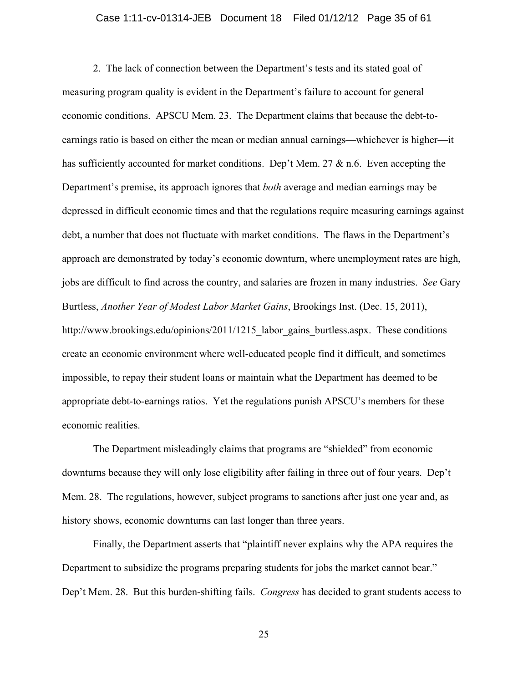#### Case 1:11-cv-01314-JEB Document 18 Filed 01/12/12 Page 35 of 61

2. The lack of connection between the Department's tests and its stated goal of measuring program quality is evident in the Department's failure to account for general economic conditions. APSCU Mem. 23. The Department claims that because the debt-toearnings ratio is based on either the mean or median annual earnings—whichever is higher—it has sufficiently accounted for market conditions. Dep't Mem.  $27 \& n.6$ . Even accepting the Department's premise, its approach ignores that *both* average and median earnings may be depressed in difficult economic times and that the regulations require measuring earnings against debt, a number that does not fluctuate with market conditions. The flaws in the Department's approach are demonstrated by today's economic downturn, where unemployment rates are high, jobs are difficult to find across the country, and salaries are frozen in many industries. *See* Gary Burtless, *Another Year of Modest Labor Market Gains*, Brookings Inst. (Dec. 15, 2011), http://www.brookings.edu/opinions/2011/1215 labor gains burtless.aspx. These conditions create an economic environment where well-educated people find it difficult, and sometimes impossible, to repay their student loans or maintain what the Department has deemed to be appropriate debt-to-earnings ratios. Yet the regulations punish APSCU's members for these economic realities.

The Department misleadingly claims that programs are "shielded" from economic downturns because they will only lose eligibility after failing in three out of four years. Dep't Mem. 28. The regulations, however, subject programs to sanctions after just one year and, as history shows, economic downturns can last longer than three years.

Finally, the Department asserts that "plaintiff never explains why the APA requires the Department to subsidize the programs preparing students for jobs the market cannot bear." Dep't Mem. 28. But this burden-shifting fails. *Congress* has decided to grant students access to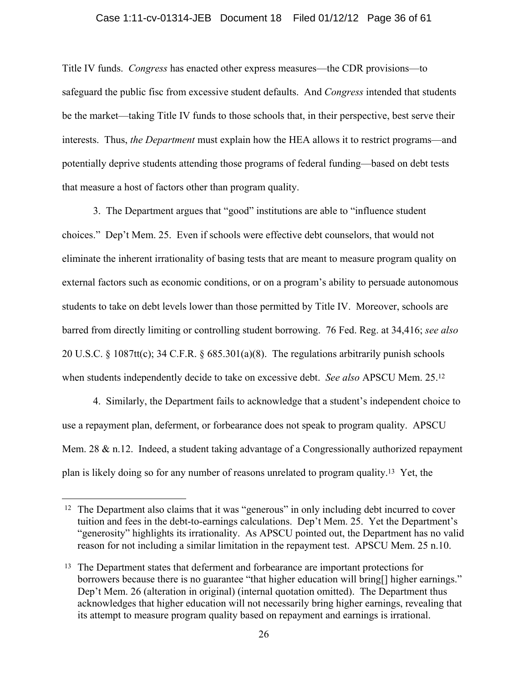#### Case 1:11-cv-01314-JEB Document 18 Filed 01/12/12 Page 36 of 61

Title IV funds. *Congress* has enacted other express measures—the CDR provisions—to safeguard the public fisc from excessive student defaults. And *Congress* intended that students be the market—taking Title IV funds to those schools that, in their perspective, best serve their interests. Thus, *the Department* must explain how the HEA allows it to restrict programs—and potentially deprive students attending those programs of federal funding—based on debt tests that measure a host of factors other than program quality.

3. The Department argues that "good" institutions are able to "influence student choices." Dep't Mem. 25. Even if schools were effective debt counselors, that would not eliminate the inherent irrationality of basing tests that are meant to measure program quality on external factors such as economic conditions, or on a program's ability to persuade autonomous students to take on debt levels lower than those permitted by Title IV. Moreover, schools are barred from directly limiting or controlling student borrowing. 76 Fed. Reg. at 34,416; *see also* 20 U.S.C. § 1087tt(c); 34 C.F.R. § 685.301(a)(8). The regulations arbitrarily punish schools when students independently decide to take on excessive debt. *See also* APSCU Mem. 25.12

4. Similarly, the Department fails to acknowledge that a student's independent choice to use a repayment plan, deferment, or forbearance does not speak to program quality. APSCU Mem. 28 & n.12. Indeed, a student taking advantage of a Congressionally authorized repayment plan is likely doing so for any number of reasons unrelated to program quality.13 Yet, the

<sup>&</sup>lt;sup>12</sup> The Department also claims that it was "generous" in only including debt incurred to cover tuition and fees in the debt-to-earnings calculations. Dep't Mem. 25. Yet the Department's "generosity" highlights its irrationality. As APSCU pointed out, the Department has no valid reason for not including a similar limitation in the repayment test. APSCU Mem. 25 n.10.

<sup>13</sup> The Department states that deferment and forbearance are important protections for borrowers because there is no guarantee "that higher education will bring[] higher earnings." Dep't Mem. 26 (alteration in original) (internal quotation omitted). The Department thus acknowledges that higher education will not necessarily bring higher earnings, revealing that its attempt to measure program quality based on repayment and earnings is irrational.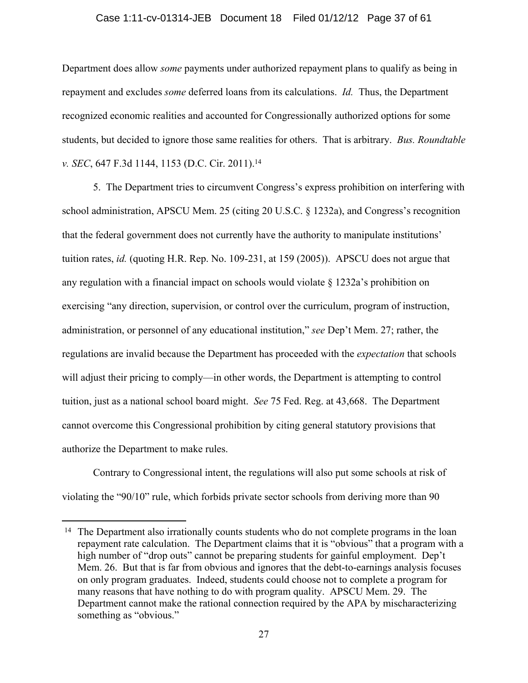#### Case 1:11-cv-01314-JEB Document 18 Filed 01/12/12 Page 37 of 61

Department does allow *some* payments under authorized repayment plans to qualify as being in repayment and excludes *some* deferred loans from its calculations. *Id.* Thus, the Department recognized economic realities and accounted for Congressionally authorized options for some students, but decided to ignore those same realities for others. That is arbitrary. *Bus. Roundtable v. SEC*, 647 F.3d 1144, 1153 (D.C. Cir. 2011).14

5. The Department tries to circumvent Congress's express prohibition on interfering with school administration, APSCU Mem. 25 (citing 20 U.S.C. § 1232a), and Congress's recognition that the federal government does not currently have the authority to manipulate institutions' tuition rates, *id.* (quoting H.R. Rep. No. 109-231, at 159 (2005)). APSCU does not argue that any regulation with a financial impact on schools would violate  $\S$  1232a's prohibition on exercising "any direction, supervision, or control over the curriculum, program of instruction, administration, or personnel of any educational institution," *see* Dep't Mem. 27; rather, the regulations are invalid because the Department has proceeded with the *expectation* that schools will adjust their pricing to comply—in other words, the Department is attempting to control tuition, just as a national school board might. *See* 75 Fed. Reg. at 43,668. The Department cannot overcome this Congressional prohibition by citing general statutory provisions that authorize the Department to make rules.

Contrary to Congressional intent, the regulations will also put some schools at risk of violating the "90/10" rule, which forbids private sector schools from deriving more than 90

<sup>&</sup>lt;sup>14</sup> The Department also irrationally counts students who do not complete programs in the loan repayment rate calculation. The Department claims that it is "obvious" that a program with a high number of "drop outs" cannot be preparing students for gainful employment. Dep't Mem. 26. But that is far from obvious and ignores that the debt-to-earnings analysis focuses on only program graduates. Indeed, students could choose not to complete a program for many reasons that have nothing to do with program quality. APSCU Mem. 29. The Department cannot make the rational connection required by the APA by mischaracterizing something as "obvious."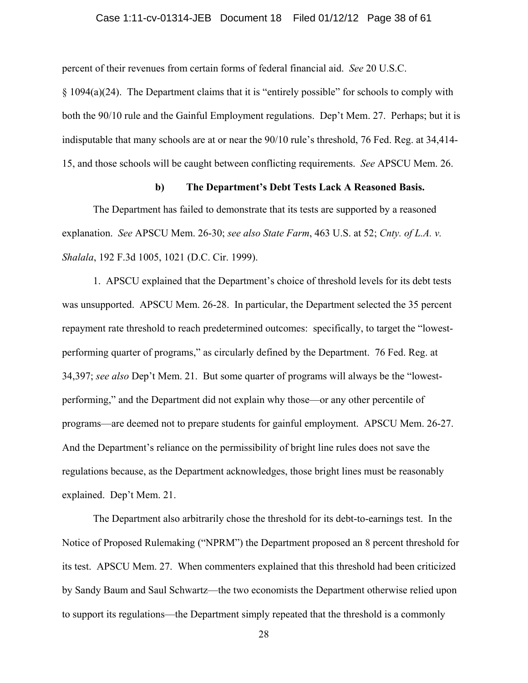#### Case 1:11-cv-01314-JEB Document 18 Filed 01/12/12 Page 38 of 61

percent of their revenues from certain forms of federal financial aid. *See* 20 U.S.C.

§ 1094(a)(24). The Department claims that it is "entirely possible" for schools to comply with both the 90/10 rule and the Gainful Employment regulations. Dep't Mem. 27. Perhaps; but it is indisputable that many schools are at or near the 90/10 rule's threshold, 76 Fed. Reg. at 34,414- 15, and those schools will be caught between conflicting requirements. *See* APSCU Mem. 26.

#### **b) The Department's Debt Tests Lack A Reasoned Basis.**

The Department has failed to demonstrate that its tests are supported by a reasoned explanation. *See* APSCU Mem. 26-30; *see also State Farm*, 463 U.S. at 52; *Cnty. of L.A. v. Shalala*, 192 F.3d 1005, 1021 (D.C. Cir. 1999).

1. APSCU explained that the Department's choice of threshold levels for its debt tests was unsupported. APSCU Mem. 26-28. In particular, the Department selected the 35 percent repayment rate threshold to reach predetermined outcomes: specifically, to target the "lowestperforming quarter of programs," as circularly defined by the Department. 76 Fed. Reg. at 34,397; *see also* Dep't Mem. 21. But some quarter of programs will always be the "lowestperforming," and the Department did not explain why those—or any other percentile of programs—are deemed not to prepare students for gainful employment. APSCU Mem. 26-27. And the Department's reliance on the permissibility of bright line rules does not save the regulations because, as the Department acknowledges, those bright lines must be reasonably explained. Dep't Mem. 21.

The Department also arbitrarily chose the threshold for its debt-to-earnings test. In the Notice of Proposed Rulemaking ("NPRM") the Department proposed an 8 percent threshold for its test. APSCU Mem. 27. When commenters explained that this threshold had been criticized by Sandy Baum and Saul Schwartz—the two economists the Department otherwise relied upon to support its regulations—the Department simply repeated that the threshold is a commonly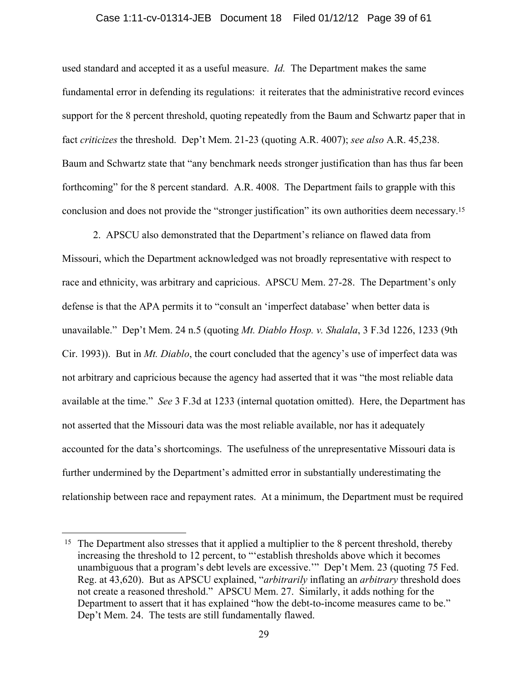#### Case 1:11-cv-01314-JEB Document 18 Filed 01/12/12 Page 39 of 61

used standard and accepted it as a useful measure. *Id.* The Department makes the same fundamental error in defending its regulations: it reiterates that the administrative record evinces support for the 8 percent threshold, quoting repeatedly from the Baum and Schwartz paper that in fact *criticizes* the threshold. Dep't Mem. 21-23 (quoting A.R. 4007); *see also* A.R. 45,238. Baum and Schwartz state that "any benchmark needs stronger justification than has thus far been forthcoming" for the 8 percent standard. A.R. 4008. The Department fails to grapple with this conclusion and does not provide the "stronger justification" its own authorities deem necessary.15

2. APSCU also demonstrated that the Department's reliance on flawed data from Missouri, which the Department acknowledged was not broadly representative with respect to race and ethnicity, was arbitrary and capricious. APSCU Mem. 27-28. The Department's only defense is that the APA permits it to "consult an 'imperfect database' when better data is unavailable." Dep't Mem. 24 n.5 (quoting *Mt. Diablo Hosp. v. Shalala*, 3 F.3d 1226, 1233 (9th Cir. 1993)). But in *Mt. Diablo*, the court concluded that the agency's use of imperfect data was not arbitrary and capricious because the agency had asserted that it was "the most reliable data available at the time." *See* 3 F.3d at 1233 (internal quotation omitted). Here, the Department has not asserted that the Missouri data was the most reliable available, nor has it adequately accounted for the data's shortcomings. The usefulness of the unrepresentative Missouri data is further undermined by the Department's admitted error in substantially underestimating the relationship between race and repayment rates. At a minimum, the Department must be required

<sup>&</sup>lt;sup>15</sup> The Department also stresses that it applied a multiplier to the 8 percent threshold, thereby increasing the threshold to 12 percent, to "'establish thresholds above which it becomes unambiguous that a program's debt levels are excessive.'" Dep't Mem. 23 (quoting 75 Fed. Reg. at 43,620). But as APSCU explained, "*arbitrarily* inflating an *arbitrary* threshold does not create a reasoned threshold." APSCU Mem. 27. Similarly, it adds nothing for the Department to assert that it has explained "how the debt-to-income measures came to be." Dep't Mem. 24. The tests are still fundamentally flawed.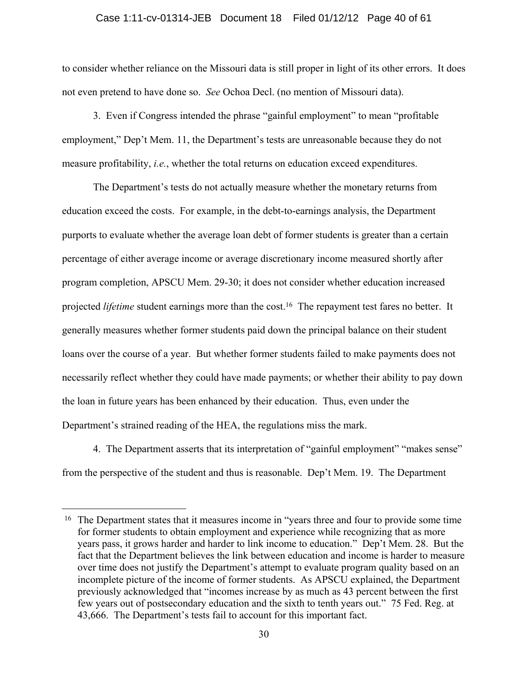#### Case 1:11-cv-01314-JEB Document 18 Filed 01/12/12 Page 40 of 61

to consider whether reliance on the Missouri data is still proper in light of its other errors. It does not even pretend to have done so. *See* Ochoa Decl. (no mention of Missouri data).

3. Even if Congress intended the phrase "gainful employment" to mean "profitable employment," Dep't Mem. 11, the Department's tests are unreasonable because they do not measure profitability, *i.e.*, whether the total returns on education exceed expenditures.

The Department's tests do not actually measure whether the monetary returns from education exceed the costs. For example, in the debt-to-earnings analysis, the Department purports to evaluate whether the average loan debt of former students is greater than a certain percentage of either average income or average discretionary income measured shortly after program completion, APSCU Mem. 29-30; it does not consider whether education increased projected *lifetime* student earnings more than the cost.<sup>16</sup> The repayment test fares no better. It generally measures whether former students paid down the principal balance on their student loans over the course of a year. But whether former students failed to make payments does not necessarily reflect whether they could have made payments; or whether their ability to pay down the loan in future years has been enhanced by their education. Thus, even under the Department's strained reading of the HEA, the regulations miss the mark.

4. The Department asserts that its interpretation of "gainful employment" "makes sense" from the perspective of the student and thus is reasonable. Dep't Mem. 19. The Department

<sup>&</sup>lt;sup>16</sup> The Department states that it measures income in "years three and four to provide some time for former students to obtain employment and experience while recognizing that as more years pass, it grows harder and harder to link income to education." Dep't Mem. 28. But the fact that the Department believes the link between education and income is harder to measure over time does not justify the Department's attempt to evaluate program quality based on an incomplete picture of the income of former students. As APSCU explained, the Department previously acknowledged that "incomes increase by as much as 43 percent between the first few years out of postsecondary education and the sixth to tenth years out." 75 Fed. Reg. at 43,666. The Department's tests fail to account for this important fact.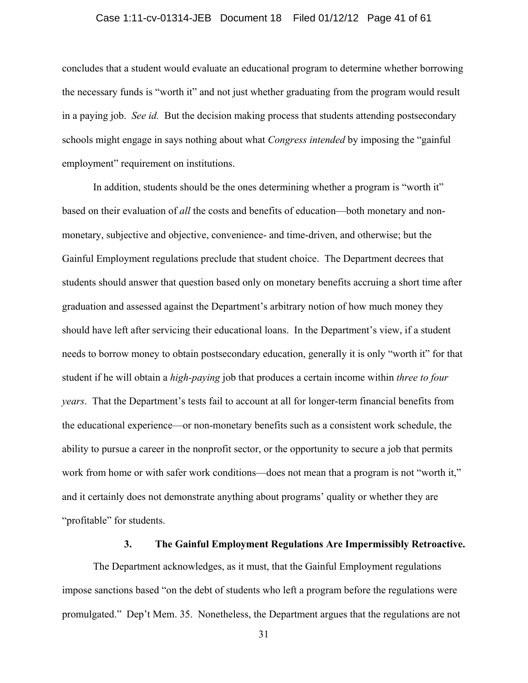#### Case 1:11-cv-01314-JEB Document 18 Filed 01/12/12 Page 41 of 61

concludes that a student would evaluate an educational program to determine whether borrowing the necessary funds is "worth it" and not just whether graduating from the program would result in a paying job. *See id.* But the decision making process that students attending postsecondary schools might engage in says nothing about what *Congress intended* by imposing the "gainful employment" requirement on institutions.

In addition, students should be the ones determining whether a program is "worth it" based on their evaluation of *all* the costs and benefits of education—both monetary and nonmonetary, subjective and objective, convenience- and time-driven, and otherwise; but the Gainful Employment regulations preclude that student choice. The Department decrees that students should answer that question based only on monetary benefits accruing a short time after graduation and assessed against the Department's arbitrary notion of how much money they should have left after servicing their educational loans. In the Department's view, if a student needs to borrow money to obtain postsecondary education, generally it is only "worth it" for that student if he will obtain a *high-paying* job that produces a certain income within *three to four years*. That the Department's tests fail to account at all for longer-term financial benefits from the educational experience—or non-monetary benefits such as a consistent work schedule, the ability to pursue a career in the nonprofit sector, or the opportunity to secure a job that permits work from home or with safer work conditions—does not mean that a program is not "worth it," and it certainly does not demonstrate anything about programs' quality or whether they are "profitable" for students.

#### **3. The Gainful Employment Regulations Are Impermissibly Retroactive.**

The Department acknowledges, as it must, that the Gainful Employment regulations impose sanctions based "on the debt of students who left a program before the regulations were promulgated." Dep't Mem. 35. Nonetheless, the Department argues that the regulations are not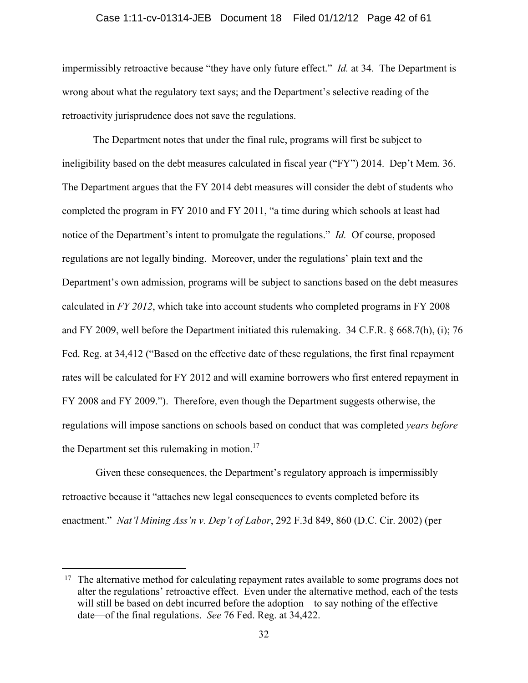#### Case 1:11-cv-01314-JEB Document 18 Filed 01/12/12 Page 42 of 61

impermissibly retroactive because "they have only future effect." *Id.* at 34. The Department is wrong about what the regulatory text says; and the Department's selective reading of the retroactivity jurisprudence does not save the regulations.

The Department notes that under the final rule, programs will first be subject to ineligibility based on the debt measures calculated in fiscal year ("FY") 2014. Dep't Mem. 36. The Department argues that the FY 2014 debt measures will consider the debt of students who completed the program in FY 2010 and FY 2011, "a time during which schools at least had notice of the Department's intent to promulgate the regulations." *Id.* Of course, proposed regulations are not legally binding. Moreover, under the regulations' plain text and the Department's own admission, programs will be subject to sanctions based on the debt measures calculated in *FY 2012*, which take into account students who completed programs in FY 2008 and FY 2009, well before the Department initiated this rulemaking. 34 C.F.R. § 668.7(h), (i); 76 Fed. Reg. at 34,412 ("Based on the effective date of these regulations, the first final repayment rates will be calculated for FY 2012 and will examine borrowers who first entered repayment in FY 2008 and FY 2009."). Therefore, even though the Department suggests otherwise, the regulations will impose sanctions on schools based on conduct that was completed *years before* the Department set this rulemaking in motion.<sup>17</sup>

 Given these consequences, the Department's regulatory approach is impermissibly retroactive because it "attaches new legal consequences to events completed before its enactment." *Nat'l Mining Ass'n v. Dep't of Labor*, 292 F.3d 849, 860 (D.C. Cir. 2002) (per

<sup>&</sup>lt;sup>17</sup> The alternative method for calculating repayment rates available to some programs does not alter the regulations' retroactive effect. Even under the alternative method, each of the tests will still be based on debt incurred before the adoption—to say nothing of the effective date—of the final regulations. *See* 76 Fed. Reg. at 34,422.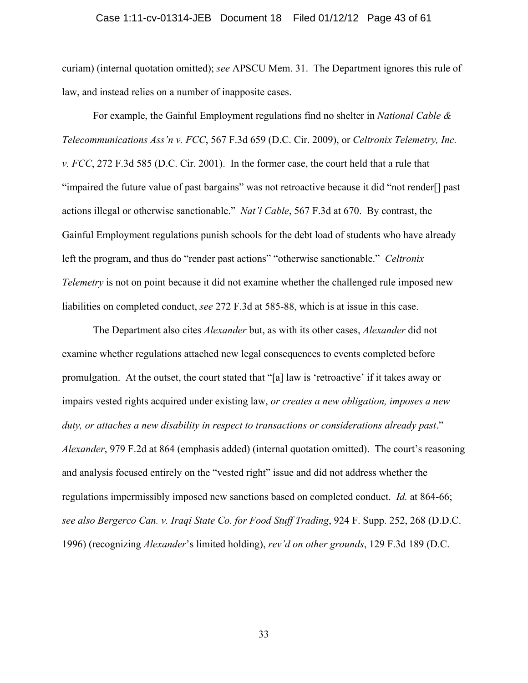#### Case 1:11-cv-01314-JEB Document 18 Filed 01/12/12 Page 43 of 61

curiam) (internal quotation omitted); *see* APSCU Mem. 31. The Department ignores this rule of law, and instead relies on a number of inapposite cases.

For example, the Gainful Employment regulations find no shelter in *National Cable & Telecommunications Ass'n v. FCC*, 567 F.3d 659 (D.C. Cir. 2009), or *Celtronix Telemetry, Inc. v. FCC*, 272 F.3d 585 (D.C. Cir. 2001). In the former case, the court held that a rule that "impaired the future value of past bargains" was not retroactive because it did "not render[] past actions illegal or otherwise sanctionable." *Nat'l Cable*, 567 F.3d at 670. By contrast, the Gainful Employment regulations punish schools for the debt load of students who have already left the program, and thus do "render past actions" "otherwise sanctionable." *Celtronix Telemetry* is not on point because it did not examine whether the challenged rule imposed new liabilities on completed conduct, *see* 272 F.3d at 585-88, which is at issue in this case.

The Department also cites *Alexander* but, as with its other cases, *Alexander* did not examine whether regulations attached new legal consequences to events completed before promulgation. At the outset, the court stated that "[a] law is 'retroactive' if it takes away or impairs vested rights acquired under existing law, *or creates a new obligation, imposes a new duty, or attaches a new disability in respect to transactions or considerations already past*." *Alexander*, 979 F.2d at 864 (emphasis added) (internal quotation omitted). The court's reasoning and analysis focused entirely on the "vested right" issue and did not address whether the regulations impermissibly imposed new sanctions based on completed conduct. *Id.* at 864-66; *see also Bergerco Can. v. Iraqi State Co. for Food Stuff Trading*, 924 F. Supp. 252, 268 (D.D.C. 1996) (recognizing *Alexander*'s limited holding), *rev'd on other grounds*, 129 F.3d 189 (D.C.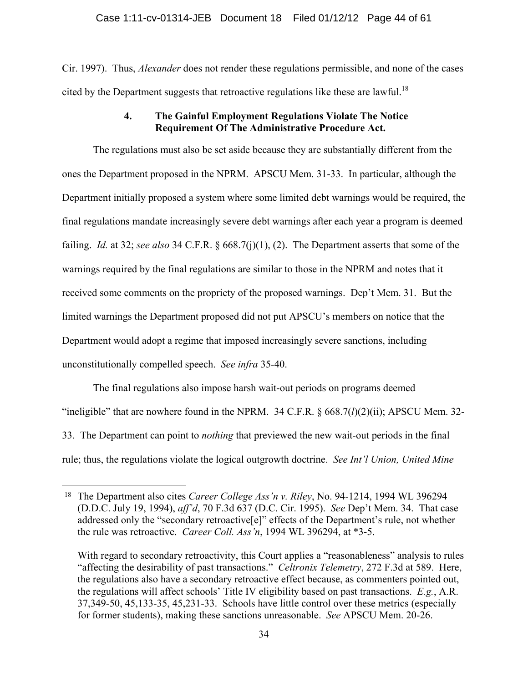Cir. 1997). Thus, *Alexander* does not render these regulations permissible, and none of the cases cited by the Department suggests that retroactive regulations like these are lawful.<sup>18</sup>

### **4. The Gainful Employment Regulations Violate The Notice Requirement Of The Administrative Procedure Act.**

The regulations must also be set aside because they are substantially different from the ones the Department proposed in the NPRM. APSCU Mem. 31-33. In particular, although the Department initially proposed a system where some limited debt warnings would be required, the final regulations mandate increasingly severe debt warnings after each year a program is deemed failing. *Id.* at 32; *see also* 34 C.F.R. § 668.7(j)(1), (2). The Department asserts that some of the warnings required by the final regulations are similar to those in the NPRM and notes that it received some comments on the propriety of the proposed warnings. Dep't Mem. 31. But the limited warnings the Department proposed did not put APSCU's members on notice that the Department would adopt a regime that imposed increasingly severe sanctions, including unconstitutionally compelled speech. *See infra* 35-40.

The final regulations also impose harsh wait-out periods on programs deemed "ineligible" that are nowhere found in the NPRM. 34 C.F.R. § 668.7(*l*)(2)(ii); APSCU Mem. 32- 33. The Department can point to *nothing* that previewed the new wait-out periods in the final rule; thus, the regulations violate the logical outgrowth doctrine. *See Int'l Union, United Mine* 

<sup>18</sup> The Department also cites *Career College Ass'n v. Riley*, No. 94-1214, 1994 WL 396294 (D.D.C. July 19, 1994), *aff'd*, 70 F.3d 637 (D.C. Cir. 1995). *See* Dep't Mem. 34. That case addressed only the "secondary retroactive[e]" effects of the Department's rule, not whether the rule was retroactive. *Career Coll. Ass'n*, 1994 WL 396294, at \*3-5.

With regard to secondary retroactivity, this Court applies a "reasonableness" analysis to rules "affecting the desirability of past transactions." *Celtronix Telemetry*, 272 F.3d at 589. Here, the regulations also have a secondary retroactive effect because, as commenters pointed out, the regulations will affect schools' Title IV eligibility based on past transactions. *E.g.*, A.R. 37,349-50, 45,133-35, 45,231-33. Schools have little control over these metrics (especially for former students), making these sanctions unreasonable. *See* APSCU Mem. 20-26.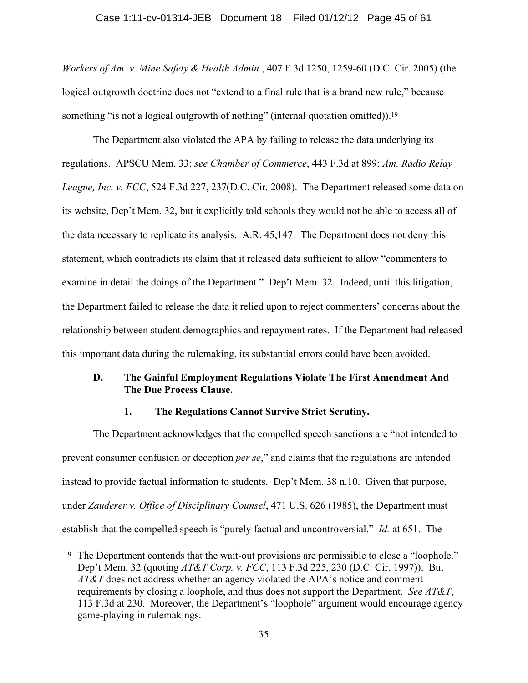# Case 1:11-cv-01314-JEB Document 18 Filed 01/12/12 Page 45 of 61

*Workers of Am. v. Mine Safety & Health Admin.*, 407 F.3d 1250, 1259-60 (D.C. Cir. 2005) (the logical outgrowth doctrine does not "extend to a final rule that is a brand new rule," because something "is not a logical outgrowth of nothing" (internal quotation omitted)).<sup>19</sup>

 The Department also violated the APA by failing to release the data underlying its regulations. APSCU Mem. 33; *see Chamber of Commerce*, 443 F.3d at 899; *Am. Radio Relay League, Inc. v. FCC*, 524 F.3d 227, 237(D.C. Cir. 2008). The Department released some data on its website, Dep't Mem. 32, but it explicitly told schools they would not be able to access all of the data necessary to replicate its analysis. A.R. 45,147. The Department does not deny this statement, which contradicts its claim that it released data sufficient to allow "commenters to examine in detail the doings of the Department." Dep't Mem. 32. Indeed, until this litigation, the Department failed to release the data it relied upon to reject commenters' concerns about the relationship between student demographics and repayment rates. If the Department had released this important data during the rulemaking, its substantial errors could have been avoided.

### **D. The Gainful Employment Regulations Violate The First Amendment And The Due Process Clause.**

#### **1. The Regulations Cannot Survive Strict Scrutiny.**

The Department acknowledges that the compelled speech sanctions are "not intended to prevent consumer confusion or deception *per se*," and claims that the regulations are intended instead to provide factual information to students. Dep't Mem. 38 n.10. Given that purpose, under *Zauderer v. Office of Disciplinary Counsel*, 471 U.S. 626 (1985), the Department must establish that the compelled speech is "purely factual and uncontroversial." *Id.* at 651. The

<sup>&</sup>lt;sup>19</sup> The Department contends that the wait-out provisions are permissible to close a "loophole." Dep't Mem. 32 (quoting *AT&T Corp. v. FCC*, 113 F.3d 225, 230 (D.C. Cir. 1997)). But *AT&T* does not address whether an agency violated the APA's notice and comment requirements by closing a loophole, and thus does not support the Department. *See AT&T*, 113 F.3d at 230. Moreover, the Department's "loophole" argument would encourage agency game-playing in rulemakings.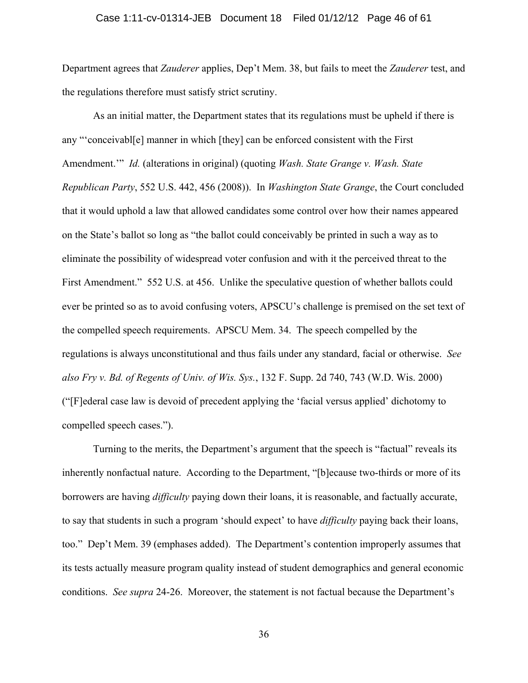#### Case 1:11-cv-01314-JEB Document 18 Filed 01/12/12 Page 46 of 61

Department agrees that *Zauderer* applies, Dep't Mem. 38, but fails to meet the *Zauderer* test, and the regulations therefore must satisfy strict scrutiny.

As an initial matter, the Department states that its regulations must be upheld if there is any "'conceivabl[e] manner in which [they] can be enforced consistent with the First Amendment.'" *Id.* (alterations in original) (quoting *Wash. State Grange v. Wash. State Republican Party*, 552 U.S. 442, 456 (2008)). In *Washington State Grange*, the Court concluded that it would uphold a law that allowed candidates some control over how their names appeared on the State's ballot so long as "the ballot could conceivably be printed in such a way as to eliminate the possibility of widespread voter confusion and with it the perceived threat to the First Amendment." 552 U.S. at 456. Unlike the speculative question of whether ballots could ever be printed so as to avoid confusing voters, APSCU's challenge is premised on the set text of the compelled speech requirements. APSCU Mem. 34. The speech compelled by the regulations is always unconstitutional and thus fails under any standard, facial or otherwise. *See also Fry v. Bd. of Regents of Univ. of Wis. Sys.*, 132 F. Supp. 2d 740, 743 (W.D. Wis. 2000) ("[F]ederal case law is devoid of precedent applying the 'facial versus applied' dichotomy to compelled speech cases.").

Turning to the merits, the Department's argument that the speech is "factual" reveals its inherently nonfactual nature. According to the Department, "[b]ecause two-thirds or more of its borrowers are having *difficulty* paying down their loans, it is reasonable, and factually accurate, to say that students in such a program 'should expect' to have *difficulty* paying back their loans, too." Dep't Mem. 39 (emphases added). The Department's contention improperly assumes that its tests actually measure program quality instead of student demographics and general economic conditions. *See supra* 24-26. Moreover, the statement is not factual because the Department's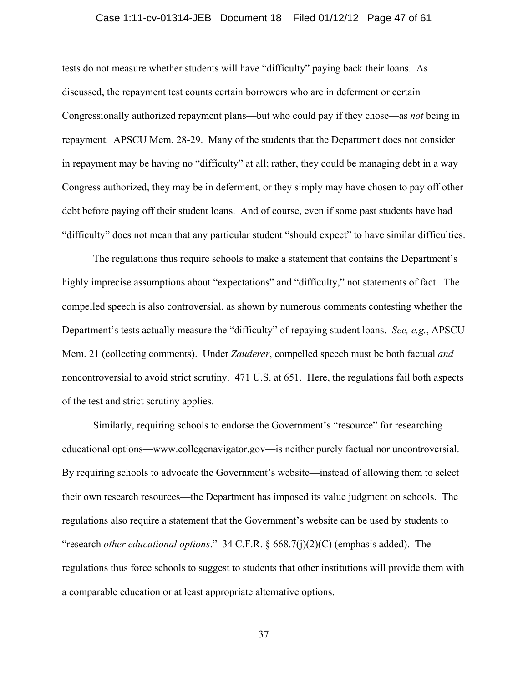#### Case 1:11-cv-01314-JEB Document 18 Filed 01/12/12 Page 47 of 61

tests do not measure whether students will have "difficulty" paying back their loans. As discussed, the repayment test counts certain borrowers who are in deferment or certain Congressionally authorized repayment plans—but who could pay if they chose—as *not* being in repayment. APSCU Mem. 28-29. Many of the students that the Department does not consider in repayment may be having no "difficulty" at all; rather, they could be managing debt in a way Congress authorized, they may be in deferment, or they simply may have chosen to pay off other debt before paying off their student loans. And of course, even if some past students have had "difficulty" does not mean that any particular student "should expect" to have similar difficulties.

The regulations thus require schools to make a statement that contains the Department's highly imprecise assumptions about "expectations" and "difficulty," not statements of fact. The compelled speech is also controversial, as shown by numerous comments contesting whether the Department's tests actually measure the "difficulty" of repaying student loans. *See, e.g.*, APSCU Mem. 21 (collecting comments). Under *Zauderer*, compelled speech must be both factual *and* noncontroversial to avoid strict scrutiny. 471 U.S. at 651. Here, the regulations fail both aspects of the test and strict scrutiny applies.

Similarly, requiring schools to endorse the Government's "resource" for researching educational options—www.collegenavigator.gov—is neither purely factual nor uncontroversial. By requiring schools to advocate the Government's website—instead of allowing them to select their own research resources—the Department has imposed its value judgment on schools. The regulations also require a statement that the Government's website can be used by students to "research *other educational options*." 34 C.F.R. § 668.7(j)(2)(C) (emphasis added). The regulations thus force schools to suggest to students that other institutions will provide them with a comparable education or at least appropriate alternative options.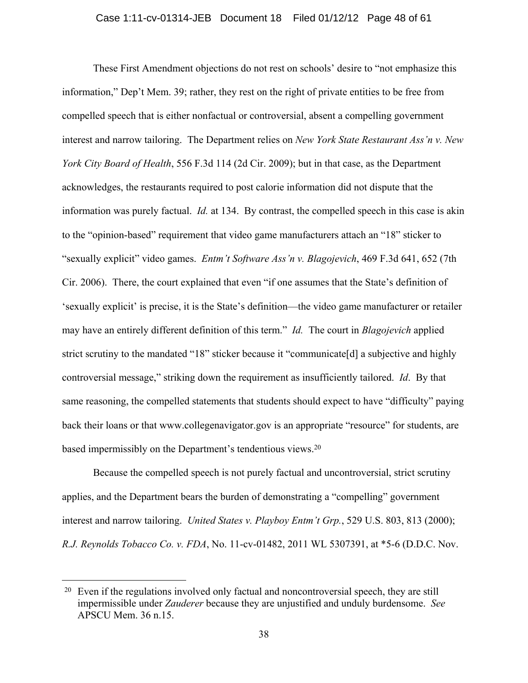These First Amendment objections do not rest on schools' desire to "not emphasize this information," Dep't Mem. 39; rather, they rest on the right of private entities to be free from compelled speech that is either nonfactual or controversial, absent a compelling government interest and narrow tailoring. The Department relies on *New York State Restaurant Ass'n v. New York City Board of Health*, 556 F.3d 114 (2d Cir. 2009); but in that case, as the Department acknowledges, the restaurants required to post calorie information did not dispute that the information was purely factual. *Id.* at 134. By contrast, the compelled speech in this case is akin to the "opinion-based" requirement that video game manufacturers attach an "18" sticker to "sexually explicit" video games. *Entm't Software Ass'n v. Blagojevich*, 469 F.3d 641, 652 (7th Cir. 2006). There, the court explained that even "if one assumes that the State's definition of 'sexually explicit' is precise, it is the State's definition—the video game manufacturer or retailer may have an entirely different definition of this term." *Id.* The court in *Blagojevich* applied strict scrutiny to the mandated "18" sticker because it "communicate[d] a subjective and highly controversial message," striking down the requirement as insufficiently tailored. *Id*. By that same reasoning, the compelled statements that students should expect to have "difficulty" paying back their loans or that www.collegenavigator.gov is an appropriate "resource" for students, are based impermissibly on the Department's tendentious views.20

Because the compelled speech is not purely factual and uncontroversial, strict scrutiny applies, and the Department bears the burden of demonstrating a "compelling" government interest and narrow tailoring. *United States v. Playboy Entm't Grp.*, 529 U.S. 803, 813 (2000); *R.J. Reynolds Tobacco Co. v. FDA*, No. 11-cv-01482, 2011 WL 5307391, at \*5-6 (D.D.C. Nov.

<sup>20</sup> Even if the regulations involved only factual and noncontroversial speech, they are still impermissible under *Zauderer* because they are unjustified and unduly burdensome. *See* APSCU Mem. 36 n.15.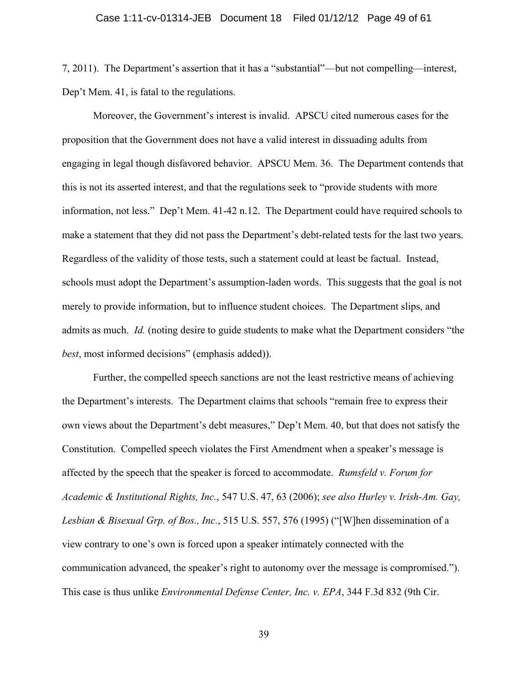7, 2011). The Department's assertion that it has a "substantial"—but not compelling—interest, Dep't Mem. 41, is fatal to the regulations.

Moreover, the Government's interest is invalid. APSCU cited numerous cases for the proposition that the Government does not have a valid interest in dissuading adults from engaging in legal though disfavored behavior. APSCU Mem. 36. The Department contends that this is not its asserted interest, and that the regulations seek to "provide students with more information, not less." Dep't Mem. 41-42 n.12. The Department could have required schools to make a statement that they did not pass the Department's debt-related tests for the last two years. Regardless of the validity of those tests, such a statement could at least be factual. Instead, schools must adopt the Department's assumption-laden words. This suggests that the goal is not merely to provide information, but to influence student choices. The Department slips, and admits as much. *Id.* (noting desire to guide students to make what the Department considers "the *best*, most informed decisions" (emphasis added)).

Further, the compelled speech sanctions are not the least restrictive means of achieving the Department's interests. The Department claims that schools "remain free to express their own views about the Department's debt measures," Dep't Mem. 40, but that does not satisfy the Constitution. Compelled speech violates the First Amendment when a speaker's message is affected by the speech that the speaker is forced to accommodate. *Rumsfeld v. Forum for Academic & Institutional Rights, Inc.*, 547 U.S. 47, 63 (2006); *see also Hurley v. Irish-Am. Gay, Lesbian & Bisexual Grp. of Bos., Inc.*, 515 U.S. 557, 576 (1995) ("[W]hen dissemination of a view contrary to one's own is forced upon a speaker intimately connected with the communication advanced, the speaker's right to autonomy over the message is compromised."). This case is thus unlike *Environmental Defense Center, Inc. v. EPA*, 344 F.3d 832 (9th Cir.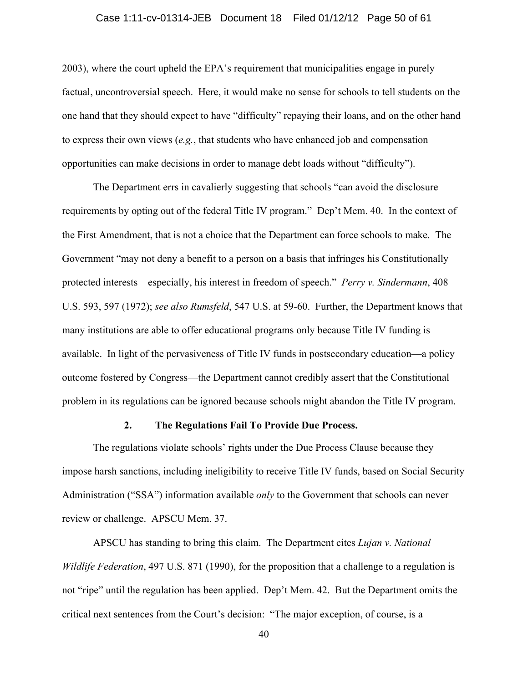#### Case 1:11-cv-01314-JEB Document 18 Filed 01/12/12 Page 50 of 61

2003), where the court upheld the EPA's requirement that municipalities engage in purely factual, uncontroversial speech. Here, it would make no sense for schools to tell students on the one hand that they should expect to have "difficulty" repaying their loans, and on the other hand to express their own views (*e.g.*, that students who have enhanced job and compensation opportunities can make decisions in order to manage debt loads without "difficulty").

The Department errs in cavalierly suggesting that schools "can avoid the disclosure requirements by opting out of the federal Title IV program." Dep't Mem. 40. In the context of the First Amendment, that is not a choice that the Department can force schools to make. The Government "may not deny a benefit to a person on a basis that infringes his Constitutionally protected interests—especially, his interest in freedom of speech." *Perry v. Sindermann*, 408 U.S. 593, 597 (1972); *see also Rumsfeld*, 547 U.S. at 59-60. Further, the Department knows that many institutions are able to offer educational programs only because Title IV funding is available. In light of the pervasiveness of Title IV funds in postsecondary education—a policy outcome fostered by Congress—the Department cannot credibly assert that the Constitutional problem in its regulations can be ignored because schools might abandon the Title IV program.

### **2. The Regulations Fail To Provide Due Process.**

The regulations violate schools' rights under the Due Process Clause because they impose harsh sanctions, including ineligibility to receive Title IV funds, based on Social Security Administration ("SSA") information available *only* to the Government that schools can never review or challenge. APSCU Mem. 37.

APSCU has standing to bring this claim. The Department cites *Lujan v. National Wildlife Federation*, 497 U.S. 871 (1990), for the proposition that a challenge to a regulation is not "ripe" until the regulation has been applied. Dep't Mem. 42. But the Department omits the critical next sentences from the Court's decision: "The major exception, of course, is a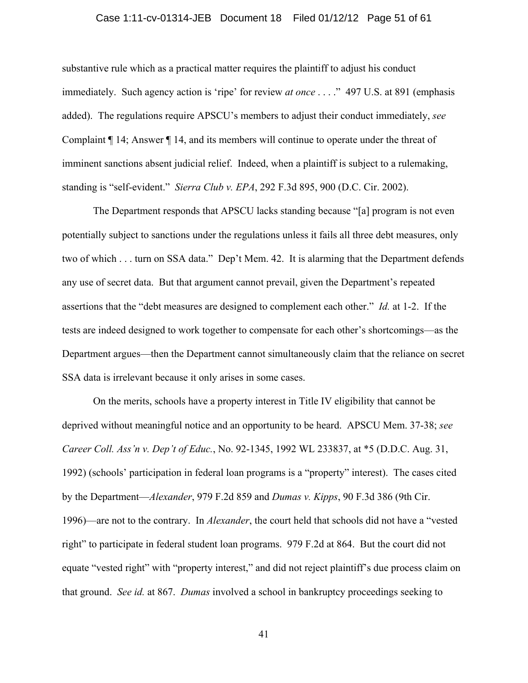#### Case 1:11-cv-01314-JEB Document 18 Filed 01/12/12 Page 51 of 61

substantive rule which as a practical matter requires the plaintiff to adjust his conduct immediately. Such agency action is 'ripe' for review *at once* . . . ." 497 U.S. at 891 (emphasis added). The regulations require APSCU's members to adjust their conduct immediately, *see* Complaint ¶ 14; Answer ¶ 14, and its members will continue to operate under the threat of imminent sanctions absent judicial relief. Indeed, when a plaintiff is subject to a rulemaking, standing is "self-evident." *Sierra Club v. EPA*, 292 F.3d 895, 900 (D.C. Cir. 2002).

The Department responds that APSCU lacks standing because "[a] program is not even potentially subject to sanctions under the regulations unless it fails all three debt measures, only two of which . . . turn on SSA data." Dep't Mem. 42. It is alarming that the Department defends any use of secret data. But that argument cannot prevail, given the Department's repeated assertions that the "debt measures are designed to complement each other." *Id.* at 1-2. If the tests are indeed designed to work together to compensate for each other's shortcomings—as the Department argues—then the Department cannot simultaneously claim that the reliance on secret SSA data is irrelevant because it only arises in some cases.

On the merits, schools have a property interest in Title IV eligibility that cannot be deprived without meaningful notice and an opportunity to be heard. APSCU Mem. 37-38; *see Career Coll. Ass'n v. Dep't of Educ.*, No. 92-1345, 1992 WL 233837, at \*5 (D.D.C. Aug. 31, 1992) (schools' participation in federal loan programs is a "property" interest). The cases cited by the Department—*Alexander*, 979 F.2d 859 and *Dumas v. Kipps*, 90 F.3d 386 (9th Cir. 1996)—are not to the contrary. In *Alexander*, the court held that schools did not have a "vested right" to participate in federal student loan programs. 979 F.2d at 864. But the court did not equate "vested right" with "property interest," and did not reject plaintiff's due process claim on that ground. *See id.* at 867. *Dumas* involved a school in bankruptcy proceedings seeking to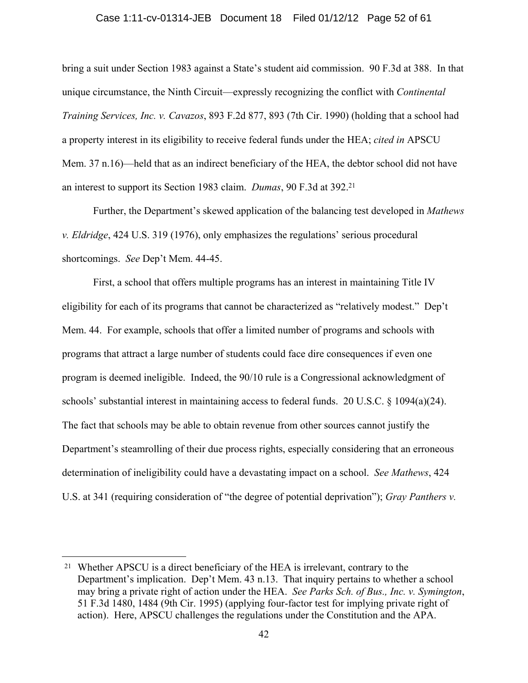#### Case 1:11-cv-01314-JEB Document 18 Filed 01/12/12 Page 52 of 61

bring a suit under Section 1983 against a State's student aid commission. 90 F.3d at 388. In that unique circumstance, the Ninth Circuit—expressly recognizing the conflict with *Continental Training Services, Inc. v. Cavazos*, 893 F.2d 877, 893 (7th Cir. 1990) (holding that a school had a property interest in its eligibility to receive federal funds under the HEA; *cited in* APSCU Mem. 37 n.16)—held that as an indirect beneficiary of the HEA, the debtor school did not have an interest to support its Section 1983 claim. *Dumas*, 90 F.3d at 392.21

Further, the Department's skewed application of the balancing test developed in *Mathews v. Eldridge*, 424 U.S. 319 (1976), only emphasizes the regulations' serious procedural shortcomings. *See* Dep't Mem. 44-45.

First, a school that offers multiple programs has an interest in maintaining Title IV eligibility for each of its programs that cannot be characterized as "relatively modest." Dep't Mem. 44. For example, schools that offer a limited number of programs and schools with programs that attract a large number of students could face dire consequences if even one program is deemed ineligible. Indeed, the 90/10 rule is a Congressional acknowledgment of schools' substantial interest in maintaining access to federal funds. 20 U.S.C. § 1094(a)(24). The fact that schools may be able to obtain revenue from other sources cannot justify the Department's steamrolling of their due process rights, especially considering that an erroneous determination of ineligibility could have a devastating impact on a school. *See Mathews*, 424 U.S. at 341 (requiring consideration of "the degree of potential deprivation"); *Gray Panthers v.* 

<sup>21</sup> Whether APSCU is a direct beneficiary of the HEA is irrelevant, contrary to the Department's implication. Dep't Mem. 43 n.13. That inquiry pertains to whether a school may bring a private right of action under the HEA. *See Parks Sch. of Bus., Inc. v. Symington*, 51 F.3d 1480, 1484 (9th Cir. 1995) (applying four-factor test for implying private right of action). Here, APSCU challenges the regulations under the Constitution and the APA.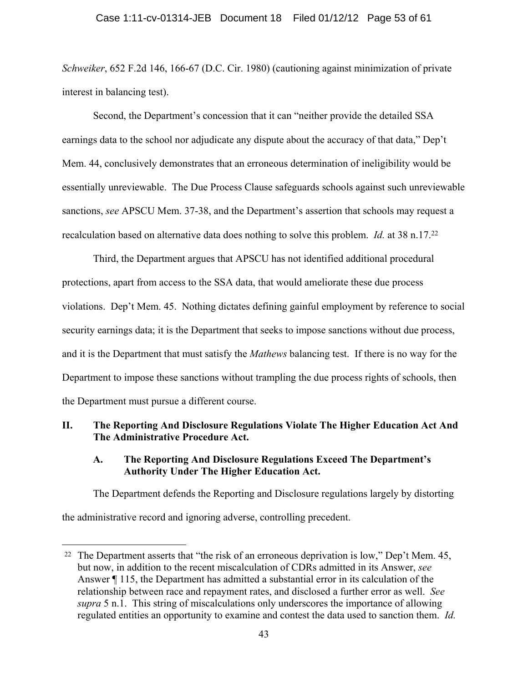### Case 1:11-cv-01314-JEB Document 18 Filed 01/12/12 Page 53 of 61

*Schweiker*, 652 F.2d 146, 166-67 (D.C. Cir. 1980) (cautioning against minimization of private interest in balancing test).

Second, the Department's concession that it can "neither provide the detailed SSA earnings data to the school nor adjudicate any dispute about the accuracy of that data," Dep't Mem. 44, conclusively demonstrates that an erroneous determination of ineligibility would be essentially unreviewable. The Due Process Clause safeguards schools against such unreviewable sanctions, *see* APSCU Mem. 37-38, and the Department's assertion that schools may request a recalculation based on alternative data does nothing to solve this problem. *Id.* at 38 n.17.22

Third, the Department argues that APSCU has not identified additional procedural protections, apart from access to the SSA data, that would ameliorate these due process violations. Dep't Mem. 45. Nothing dictates defining gainful employment by reference to social security earnings data; it is the Department that seeks to impose sanctions without due process, and it is the Department that must satisfy the *Mathews* balancing test. If there is no way for the Department to impose these sanctions without trampling the due process rights of schools, then the Department must pursue a different course.

### **II. The Reporting And Disclosure Regulations Violate The Higher Education Act And The Administrative Procedure Act.**

### **A. The Reporting And Disclosure Regulations Exceed The Department's Authority Under The Higher Education Act.**

The Department defends the Reporting and Disclosure regulations largely by distorting the administrative record and ignoring adverse, controlling precedent.

<u>.</u>

<sup>&</sup>lt;sup>22</sup> The Department asserts that "the risk of an erroneous deprivation is low," Dep't Mem.  $45$ , but now, in addition to the recent miscalculation of CDRs admitted in its Answer, *see* Answer ¶ 115, the Department has admitted a substantial error in its calculation of the relationship between race and repayment rates, and disclosed a further error as well. *See supra* 5 n.1. This string of miscalculations only underscores the importance of allowing regulated entities an opportunity to examine and contest the data used to sanction them. *Id.*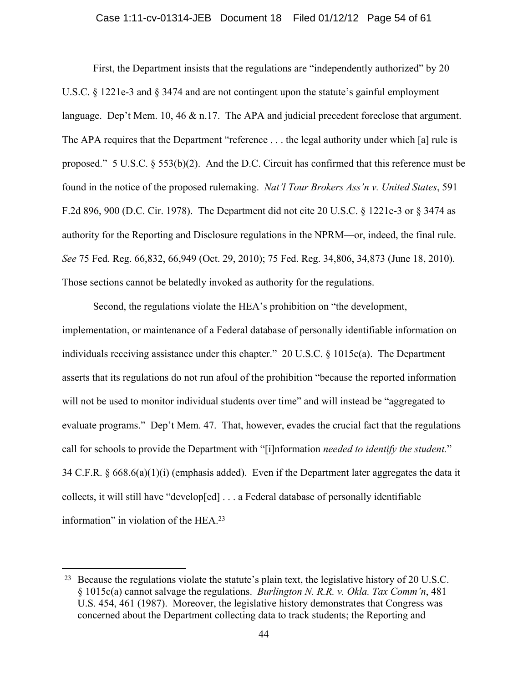#### Case 1:11-cv-01314-JEB Document 18 Filed 01/12/12 Page 54 of 61

First, the Department insists that the regulations are "independently authorized" by 20 U.S.C. § 1221e-3 and § 3474 and are not contingent upon the statute's gainful employment language. Dep't Mem. 10, 46 & n.17. The APA and judicial precedent foreclose that argument. The APA requires that the Department "reference . . . the legal authority under which [a] rule is proposed." 5 U.S.C. § 553(b)(2). And the D.C. Circuit has confirmed that this reference must be found in the notice of the proposed rulemaking. *Nat'l Tour Brokers Ass'n v. United States*, 591 F.2d 896, 900 (D.C. Cir. 1978). The Department did not cite 20 U.S.C. § 1221e-3 or § 3474 as authority for the Reporting and Disclosure regulations in the NPRM—or, indeed, the final rule. *See* 75 Fed. Reg. 66,832, 66,949 (Oct. 29, 2010); 75 Fed. Reg. 34,806, 34,873 (June 18, 2010). Those sections cannot be belatedly invoked as authority for the regulations.

Second, the regulations violate the HEA's prohibition on "the development, implementation, or maintenance of a Federal database of personally identifiable information on individuals receiving assistance under this chapter." 20 U.S.C. § 1015c(a). The Department asserts that its regulations do not run afoul of the prohibition "because the reported information will not be used to monitor individual students over time" and will instead be "aggregated to evaluate programs." Dep't Mem. 47. That, however, evades the crucial fact that the regulations call for schools to provide the Department with "[i]nformation *needed to identify the student.*" 34 C.F.R. § 668.6(a)(1)(i) (emphasis added). Even if the Department later aggregates the data it collects, it will still have "develop[ed] . . . a Federal database of personally identifiable information" in violation of the HEA.23

<sup>23</sup> Because the regulations violate the statute's plain text, the legislative history of 20 U.S.C. § 1015c(a) cannot salvage the regulations. *Burlington N. R.R. v. Okla. Tax Comm'n*, 481 U.S. 454, 461 (1987). Moreover, the legislative history demonstrates that Congress was concerned about the Department collecting data to track students; the Reporting and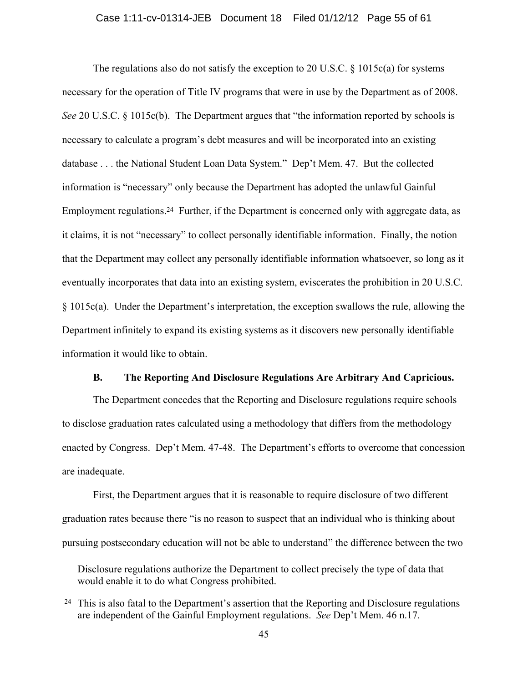#### Case 1:11-cv-01314-JEB Document 18 Filed 01/12/12 Page 55 of 61

The regulations also do not satisfy the exception to 20 U.S.C.  $\S$  1015c(a) for systems necessary for the operation of Title IV programs that were in use by the Department as of 2008. *See* 20 U.S.C. § 1015c(b). The Department argues that "the information reported by schools is necessary to calculate a program's debt measures and will be incorporated into an existing database . . . the National Student Loan Data System." Dep't Mem. 47. But the collected information is "necessary" only because the Department has adopted the unlawful Gainful Employment regulations.<sup>24</sup> Further, if the Department is concerned only with aggregate data, as it claims, it is not "necessary" to collect personally identifiable information. Finally, the notion that the Department may collect any personally identifiable information whatsoever, so long as it eventually incorporates that data into an existing system, eviscerates the prohibition in 20 U.S.C. § 1015c(a). Under the Department's interpretation, the exception swallows the rule, allowing the Department infinitely to expand its existing systems as it discovers new personally identifiable information it would like to obtain.

#### **B. The Reporting And Disclosure Regulations Are Arbitrary And Capricious.**

The Department concedes that the Reporting and Disclosure regulations require schools to disclose graduation rates calculated using a methodology that differs from the methodology enacted by Congress. Dep't Mem. 47-48. The Department's efforts to overcome that concession are inadequate.

First, the Department argues that it is reasonable to require disclosure of two different graduation rates because there "is no reason to suspect that an individual who is thinking about pursuing postsecondary education will not be able to understand" the difference between the two

Disclosure regulations authorize the Department to collect precisely the type of data that would enable it to do what Congress prohibited.

<sup>24</sup> This is also fatal to the Department's assertion that the Reporting and Disclosure regulations are independent of the Gainful Employment regulations. *See* Dep't Mem. 46 n.17.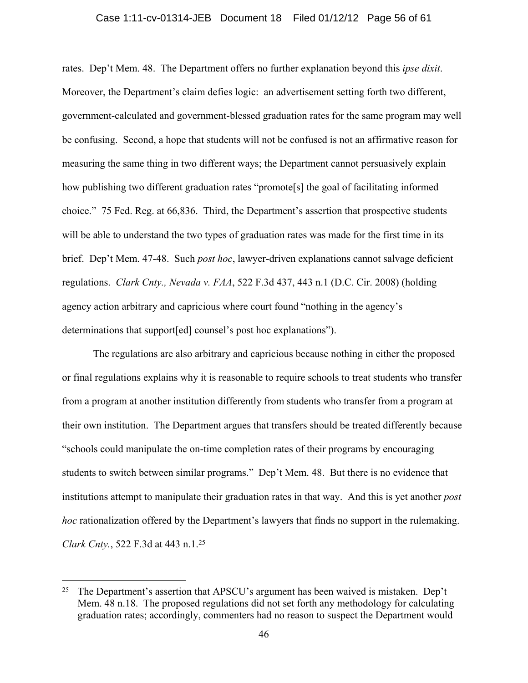#### Case 1:11-cv-01314-JEB Document 18 Filed 01/12/12 Page 56 of 61

rates. Dep't Mem. 48. The Department offers no further explanation beyond this *ipse dixit*. Moreover, the Department's claim defies logic: an advertisement setting forth two different, government-calculated and government-blessed graduation rates for the same program may well be confusing. Second, a hope that students will not be confused is not an affirmative reason for measuring the same thing in two different ways; the Department cannot persuasively explain how publishing two different graduation rates "promote<sup>[5]</sup> the goal of facilitating informed choice." 75 Fed. Reg. at 66,836. Third, the Department's assertion that prospective students will be able to understand the two types of graduation rates was made for the first time in its brief. Dep't Mem. 47-48. Such *post hoc*, lawyer-driven explanations cannot salvage deficient regulations. *Clark Cnty., Nevada v. FAA*, 522 F.3d 437, 443 n.1 (D.C. Cir. 2008) (holding agency action arbitrary and capricious where court found "nothing in the agency's determinations that support[ed] counsel's post hoc explanations").

The regulations are also arbitrary and capricious because nothing in either the proposed or final regulations explains why it is reasonable to require schools to treat students who transfer from a program at another institution differently from students who transfer from a program at their own institution. The Department argues that transfers should be treated differently because "schools could manipulate the on-time completion rates of their programs by encouraging students to switch between similar programs." Dep't Mem. 48. But there is no evidence that institutions attempt to manipulate their graduation rates in that way. And this is yet another *post hoc* rationalization offered by the Department's lawyers that finds no support in the rulemaking. *Clark Cnty.*, 522 F.3d at 443 n.1.25

<sup>&</sup>lt;sup>25</sup> The Department's assertion that APSCU's argument has been waived is mistaken. Dep't Mem. 48 n.18. The proposed regulations did not set forth any methodology for calculating graduation rates; accordingly, commenters had no reason to suspect the Department would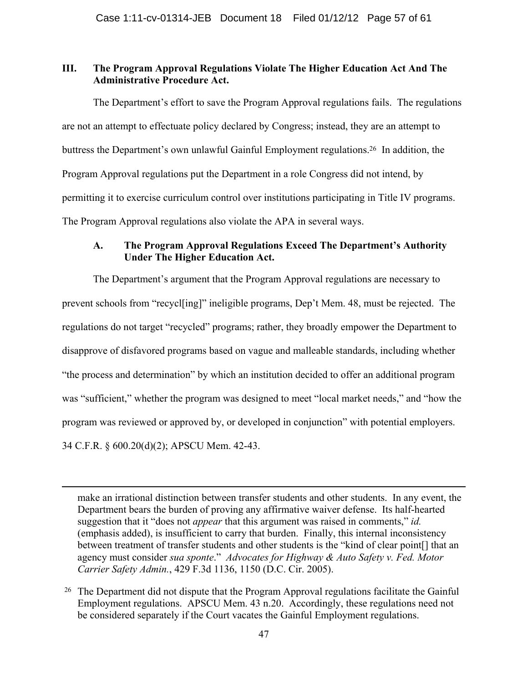### **III. The Program Approval Regulations Violate The Higher Education Act And The Administrative Procedure Act.**

The Department's effort to save the Program Approval regulations fails. The regulations are not an attempt to effectuate policy declared by Congress; instead, they are an attempt to buttress the Department's own unlawful Gainful Employment regulations.26 In addition, the Program Approval regulations put the Department in a role Congress did not intend, by permitting it to exercise curriculum control over institutions participating in Title IV programs. The Program Approval regulations also violate the APA in several ways.

### **A. The Program Approval Regulations Exceed The Department's Authority Under The Higher Education Act.**

The Department's argument that the Program Approval regulations are necessary to prevent schools from "recycl[ing]" ineligible programs, Dep't Mem. 48, must be rejected. The regulations do not target "recycled" programs; rather, they broadly empower the Department to disapprove of disfavored programs based on vague and malleable standards, including whether "the process and determination" by which an institution decided to offer an additional program was "sufficient," whether the program was designed to meet "local market needs," and "how the program was reviewed or approved by, or developed in conjunction" with potential employers. 34 C.F.R. § 600.20(d)(2); APSCU Mem. 42-43.

make an irrational distinction between transfer students and other students. In any event, the Department bears the burden of proving any affirmative waiver defense. Its half-hearted suggestion that it "does not *appear* that this argument was raised in comments," *id.* (emphasis added), is insufficient to carry that burden. Finally, this internal inconsistency between treatment of transfer students and other students is the "kind of clear point[] that an agency must consider *sua sponte*." *Advocates for Highway & Auto Safety v. Fed. Motor Carrier Safety Admin.*, 429 F.3d 1136, 1150 (D.C. Cir. 2005).

<sup>&</sup>lt;sup>26</sup> The Department did not dispute that the Program Approval regulations facilitate the Gainful Employment regulations. APSCU Mem. 43 n.20. Accordingly, these regulations need not be considered separately if the Court vacates the Gainful Employment regulations.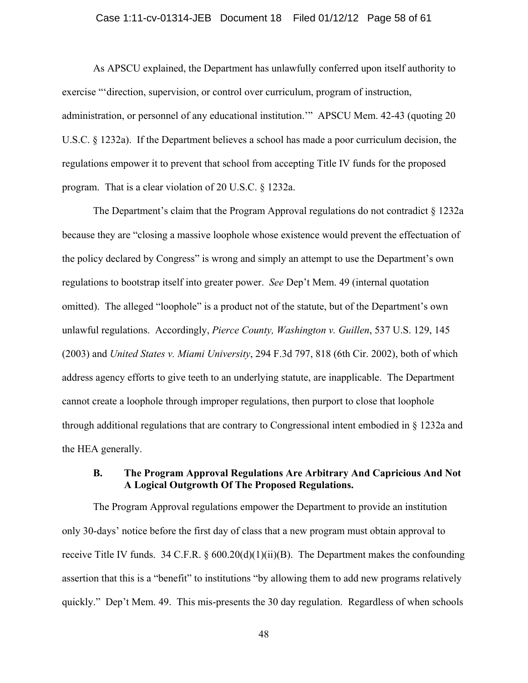#### Case 1:11-cv-01314-JEB Document 18 Filed 01/12/12 Page 58 of 61

As APSCU explained, the Department has unlawfully conferred upon itself authority to exercise "'direction, supervision, or control over curriculum, program of instruction, administration, or personnel of any educational institution.'" APSCU Mem. 42-43 (quoting 20 U.S.C. § 1232a). If the Department believes a school has made a poor curriculum decision, the regulations empower it to prevent that school from accepting Title IV funds for the proposed program. That is a clear violation of 20 U.S.C. § 1232a.

The Department's claim that the Program Approval regulations do not contradict § 1232a because they are "closing a massive loophole whose existence would prevent the effectuation of the policy declared by Congress" is wrong and simply an attempt to use the Department's own regulations to bootstrap itself into greater power. *See* Dep't Mem. 49 (internal quotation omitted). The alleged "loophole" is a product not of the statute, but of the Department's own unlawful regulations. Accordingly, *Pierce County, Washington v. Guillen*, 537 U.S. 129, 145 (2003) and *United States v. Miami University*, 294 F.3d 797, 818 (6th Cir. 2002), both of which address agency efforts to give teeth to an underlying statute, are inapplicable. The Department cannot create a loophole through improper regulations, then purport to close that loophole through additional regulations that are contrary to Congressional intent embodied in § 1232a and the HEA generally.

### **B. The Program Approval Regulations Are Arbitrary And Capricious And Not A Logical Outgrowth Of The Proposed Regulations.**

The Program Approval regulations empower the Department to provide an institution only 30-days' notice before the first day of class that a new program must obtain approval to receive Title IV funds. 34 C.F.R.  $\S$  600.20(d)(1)(ii)(B). The Department makes the confounding assertion that this is a "benefit" to institutions "by allowing them to add new programs relatively quickly." Dep't Mem. 49. This mis-presents the 30 day regulation. Regardless of when schools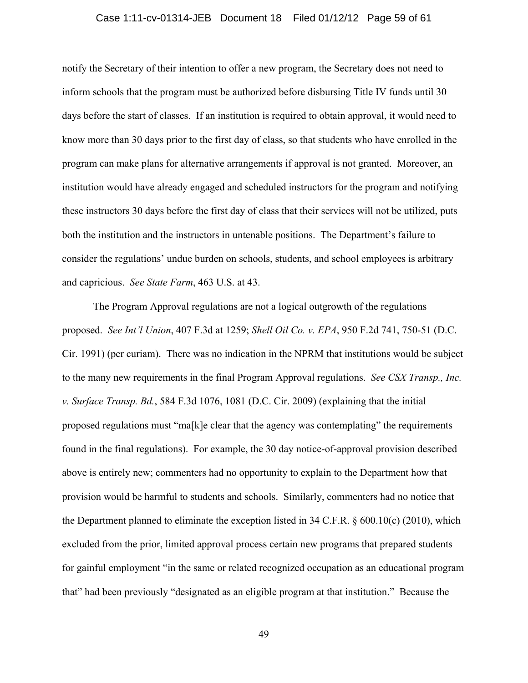#### Case 1:11-cv-01314-JEB Document 18 Filed 01/12/12 Page 59 of 61

notify the Secretary of their intention to offer a new program, the Secretary does not need to inform schools that the program must be authorized before disbursing Title IV funds until 30 days before the start of classes. If an institution is required to obtain approval, it would need to know more than 30 days prior to the first day of class, so that students who have enrolled in the program can make plans for alternative arrangements if approval is not granted. Moreover, an institution would have already engaged and scheduled instructors for the program and notifying these instructors 30 days before the first day of class that their services will not be utilized, puts both the institution and the instructors in untenable positions. The Department's failure to consider the regulations' undue burden on schools, students, and school employees is arbitrary and capricious. *See State Farm*, 463 U.S. at 43.

The Program Approval regulations are not a logical outgrowth of the regulations proposed. *See Int'l Union*, 407 F.3d at 1259; *Shell Oil Co. v. EPA*, 950 F.2d 741, 750-51 (D.C. Cir. 1991) (per curiam). There was no indication in the NPRM that institutions would be subject to the many new requirements in the final Program Approval regulations. *See CSX Transp., Inc. v. Surface Transp. Bd.*, 584 F.3d 1076, 1081 (D.C. Cir. 2009) (explaining that the initial proposed regulations must "ma[k]e clear that the agency was contemplating" the requirements found in the final regulations). For example, the 30 day notice-of-approval provision described above is entirely new; commenters had no opportunity to explain to the Department how that provision would be harmful to students and schools. Similarly, commenters had no notice that the Department planned to eliminate the exception listed in 34 C.F.R. § 600.10(c) (2010), which excluded from the prior, limited approval process certain new programs that prepared students for gainful employment "in the same or related recognized occupation as an educational program that" had been previously "designated as an eligible program at that institution." Because the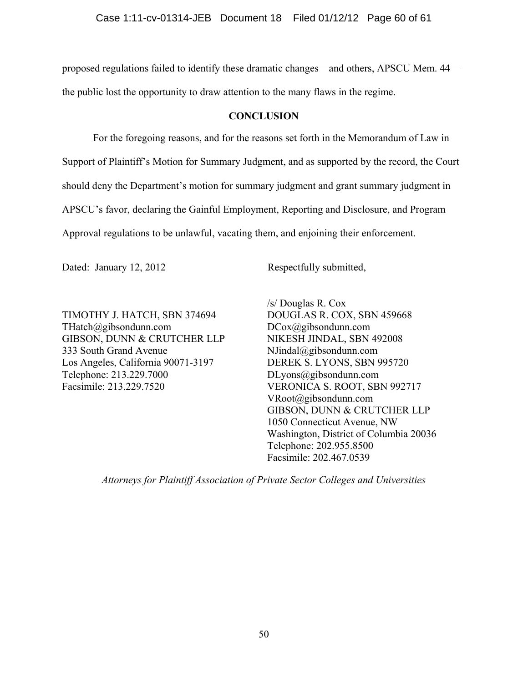proposed regulations failed to identify these dramatic changes—and others, APSCU Mem. 44 the public lost the opportunity to draw attention to the many flaws in the regime.

### **CONCLUSION**

For the foregoing reasons, and for the reasons set forth in the Memorandum of Law in Support of Plaintiff's Motion for Summary Judgment, and as supported by the record, the Court should deny the Department's motion for summary judgment and grant summary judgment in APSCU's favor, declaring the Gainful Employment, Reporting and Disclosure, and Program Approval regulations to be unlawful, vacating them, and enjoining their enforcement.

Dated: January 12, 2012 Respectfully submitted,

TIMOTHY J. HATCH, SBN 374694 THatch@gibsondunn.com GIBSON, DUNN & CRUTCHER LLP 333 South Grand Avenue Los Angeles, California 90071-3197 Telephone: 213.229.7000 Facsimile: 213.229.7520

/s/ Douglas R. Cox

DOUGLAS R. COX, SBN 459668 DCox@gibsondunn.com NIKESH JINDAL, SBN 492008 NJindal@gibsondunn.com DEREK S. LYONS, SBN 995720 DLyons@gibsondunn.com VERONICA S. ROOT, SBN 992717 VRoot@gibsondunn.com GIBSON, DUNN & CRUTCHER LLP 1050 Connecticut Avenue, NW Washington, District of Columbia 20036 Telephone: 202.955.8500 Facsimile: 202.467.0539

*Attorneys for Plaintiff Association of Private Sector Colleges and Universities*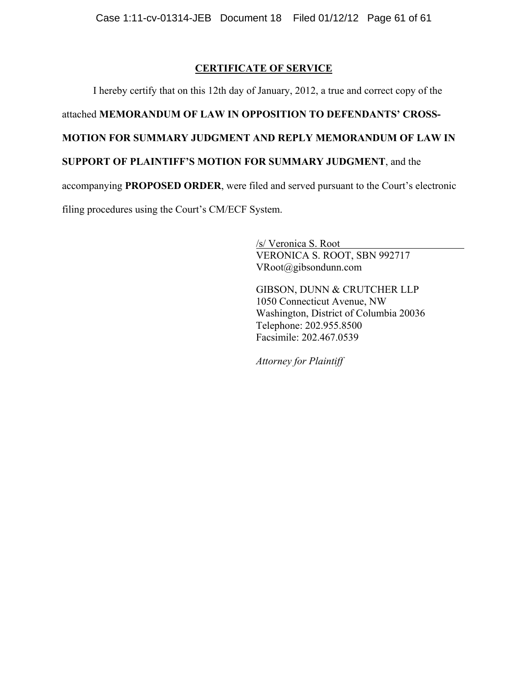# **CERTIFICATE OF SERVICE**

I hereby certify that on this 12th day of January, 2012, a true and correct copy of the

# attached **MEMORANDUM OF LAW IN OPPOSITION TO DEFENDANTS' CROSS-**

# **MOTION FOR SUMMARY JUDGMENT AND REPLY MEMORANDUM OF LAW IN**

# **SUPPORT OF PLAINTIFF'S MOTION FOR SUMMARY JUDGMENT**, and the

accompanying **PROPOSED ORDER**, were filed and served pursuant to the Court's electronic

filing procedures using the Court's CM/ECF System.

 /s/ Veronica S. Root VERONICA S. ROOT, SBN 992717 VRoot@gibsondunn.com

 GIBSON, DUNN & CRUTCHER LLP 1050 Connecticut Avenue, NW Washington, District of Columbia 20036 Telephone: 202.955.8500 Facsimile: 202.467.0539

*Attorney for Plaintiff*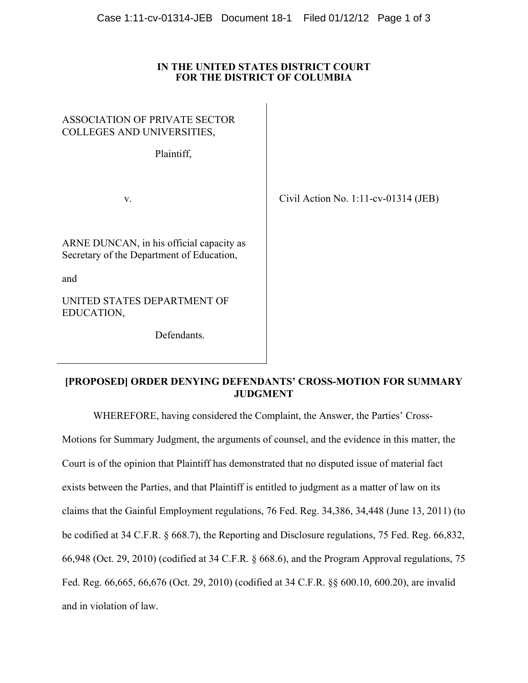### **IN THE UNITED STATES DISTRICT COURT FOR THE DISTRICT OF COLUMBIA**

| <b>ASSOCIATION OF PRIVATE SECTOR</b><br>COLLEGES AND UNIVERSITIES,<br>Plaintiff,             |                                         |
|----------------------------------------------------------------------------------------------|-----------------------------------------|
| V.                                                                                           | Civil Action No. $1:11$ -cv-01314 (JEB) |
| ARNE DUNCAN, in his official capacity as<br>Secretary of the Department of Education,<br>and |                                         |
|                                                                                              |                                         |
| UNITED STATES DEPARTMENT OF<br>EDUCATION,                                                    |                                         |
| Defendants.                                                                                  |                                         |
|                                                                                              |                                         |

### **[PROPOSED] ORDER DENYING DEFENDANTS' CROSS-MOTION FOR SUMMARY JUDGMENT**

WHEREFORE, having considered the Complaint, the Answer, the Parties' Cross-

Motions for Summary Judgment, the arguments of counsel, and the evidence in this matter, the Court is of the opinion that Plaintiff has demonstrated that no disputed issue of material fact exists between the Parties, and that Plaintiff is entitled to judgment as a matter of law on its claims that the Gainful Employment regulations, 76 Fed. Reg. 34,386, 34,448 (June 13, 2011) (to be codified at 34 C.F.R. § 668.7), the Reporting and Disclosure regulations, 75 Fed. Reg. 66,832, 66,948 (Oct. 29, 2010) (codified at 34 C.F.R. § 668.6), and the Program Approval regulations, 75 Fed. Reg. 66,665, 66,676 (Oct. 29, 2010) (codified at 34 C.F.R. §§ 600.10, 600.20), are invalid and in violation of law.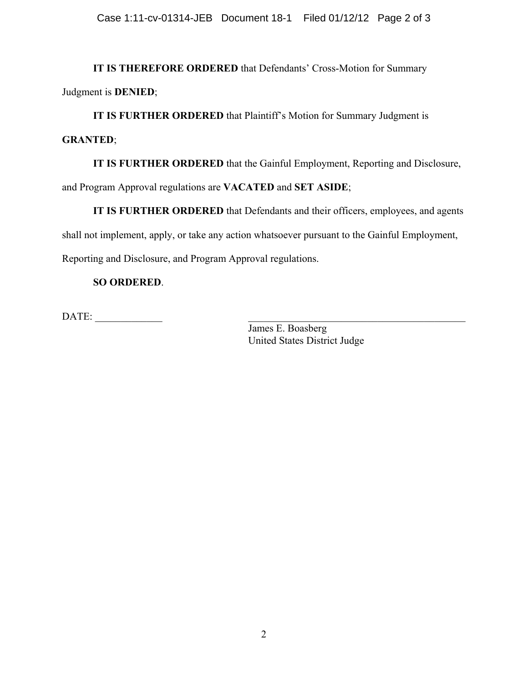**IT IS THEREFORE ORDERED** that Defendants' Cross-Motion for Summary Judgment is **DENIED**;

**IT IS FURTHER ORDERED** that Plaintiff's Motion for Summary Judgment is

## **GRANTED**;

**IT IS FURTHER ORDERED** that the Gainful Employment, Reporting and Disclosure,

and Program Approval regulations are **VACATED** and **SET ASIDE**;

**IT IS FURTHER ORDERED** that Defendants and their officers, employees, and agents shall not implement, apply, or take any action whatsoever pursuant to the Gainful Employment, Reporting and Disclosure, and Program Approval regulations.

# **SO ORDERED**.

DATE: \_\_\_\_\_\_\_\_\_\_\_\_\_ \_\_\_\_\_\_\_\_\_\_\_\_\_\_\_\_\_\_\_\_\_\_\_\_\_\_\_\_\_\_\_\_\_\_\_\_\_\_\_\_\_\_

James E. Boasberg United States District Judge